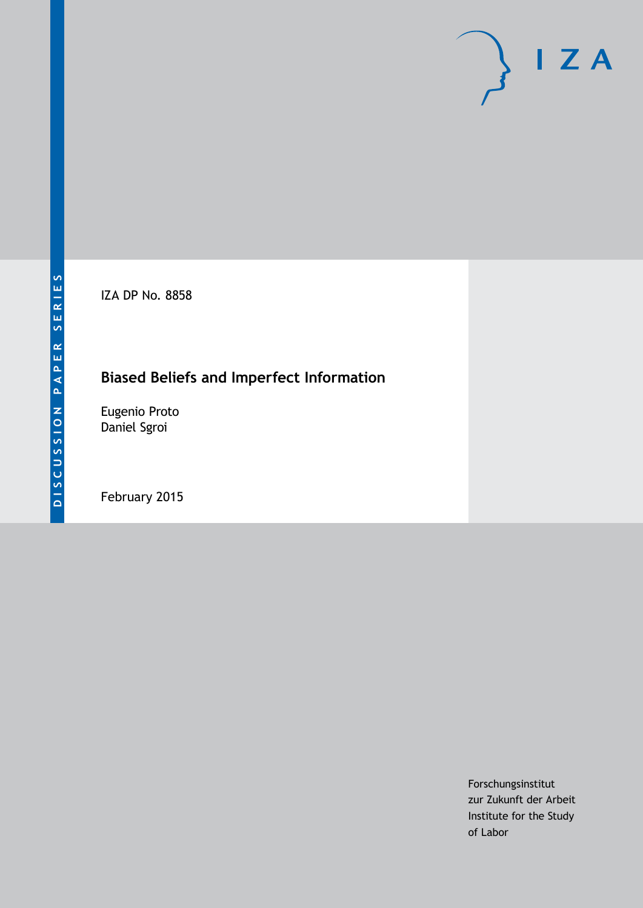IZA DP No. 8858

# **Biased Beliefs and Imperfect Information**

Eugenio Proto Daniel Sgroi

February 2015

Forschungsinstitut zur Zukunft der Arbeit Institute for the Study of Labor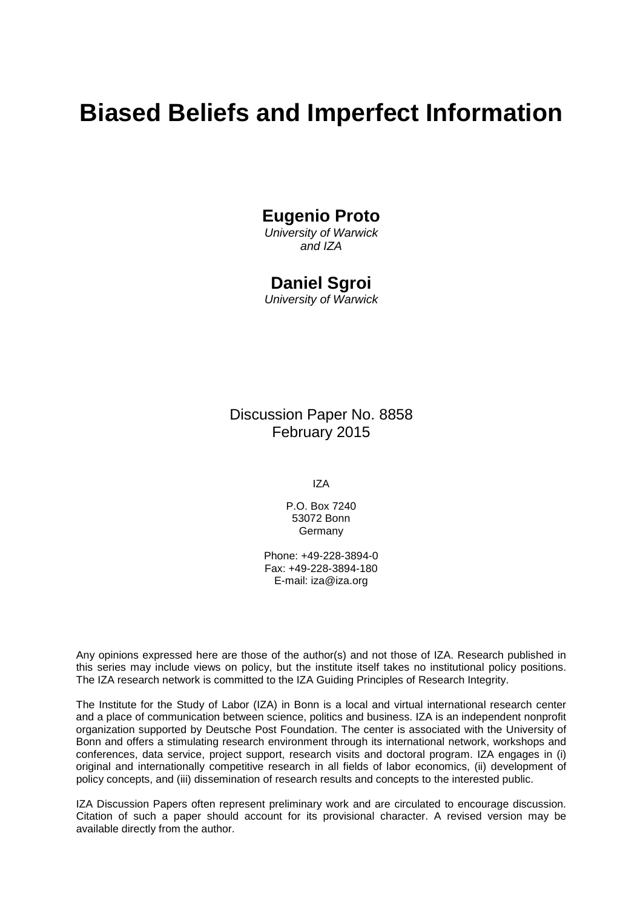# **Biased Beliefs and Imperfect Information**

## **Eugenio Proto**

*University of Warwick and IZA*

### **Daniel Sgroi**

*University of Warwick*

Discussion Paper No. 8858 February 2015

IZA

P.O. Box 7240 53072 Bonn Germany

Phone: +49-228-3894-0 Fax: +49-228-3894-180 E-mail: [iza@iza.org](mailto:iza@iza.org)

Any opinions expressed here are those of the author(s) and not those of IZA. Research published in this series may include views on policy, but the institute itself takes no institutional policy positions. The IZA research network is committed to the IZA Guiding Principles of Research Integrity.

The Institute for the Study of Labor (IZA) in Bonn is a local and virtual international research center and a place of communication between science, politics and business. IZA is an independent nonprofit organization supported by Deutsche Post Foundation. The center is associated with the University of Bonn and offers a stimulating research environment through its international network, workshops and conferences, data service, project support, research visits and doctoral program. IZA engages in (i) original and internationally competitive research in all fields of labor economics, (ii) development of policy concepts, and (iii) dissemination of research results and concepts to the interested public.

IZA Discussion Papers often represent preliminary work and are circulated to encourage discussion. Citation of such a paper should account for its provisional character. A revised version may be available directly from the author.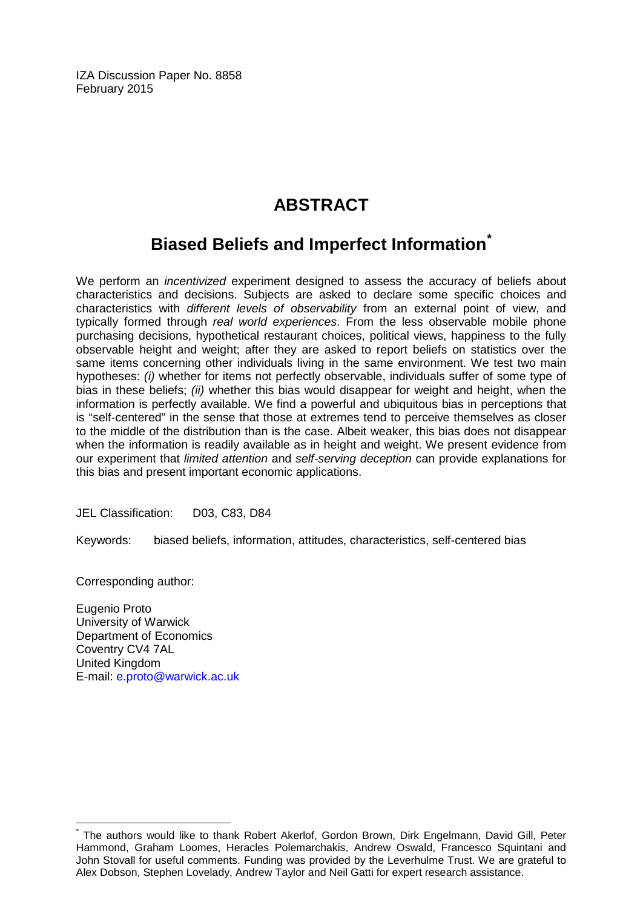IZA Discussion Paper No. 8858 February 2015

# **ABSTRACT**

# **Biased Beliefs and Imperfect Information[\\*](#page-3-0)**

We perform an *incentivized* experiment designed to assess the accuracy of beliefs about characteristics and decisions. Subjects are asked to declare some specific choices and characteristics with *different levels of observability* from an external point of view, and typically formed through *real world experiences*. From the less observable mobile phone purchasing decisions, hypothetical restaurant choices, political views, happiness to the fully observable height and weight; after they are asked to report beliefs on statistics over the same items concerning other individuals living in the same environment. We test two main hypotheses: *(i)* whether for items not perfectly observable, individuals suffer of some type of bias in these beliefs; *(ii)* whether this bias would disappear for weight and height, when the information is perfectly available. We find a powerful and ubiquitous bias in perceptions that is "self-centered" in the sense that those at extremes tend to perceive themselves as closer to the middle of the distribution than is the case. Albeit weaker, this bias does not disappear when the information is readily available as in height and weight. We present evidence from our experiment that *limited attention* and *self-serving deception* can provide explanations for this bias and present important economic applications.

JEL Classification: D03, C83, D84

Keywords: biased beliefs, information, attitudes, characteristics, self-centered bias

Corresponding author:

Eugenio Proto University of Warwick Department of Economics Coventry CV4 7AL United Kingdom E-mail: [e.proto@warwick.ac.uk](mailto:e.proto@warwick.ac.uk)

\* The authors would like to thank Robert Akerlof, Gordon Brown, Dirk Engelmann, David Gill, Peter Hammond, Graham Loomes, Heracles Polemarchakis, Andrew Oswald, Francesco Squintani and John Stovall for useful comments. Funding was provided by the Leverhulme Trust. We are grateful to Alex Dobson, Stephen Lovelady, Andrew Taylor and Neil Gatti for expert research assistance.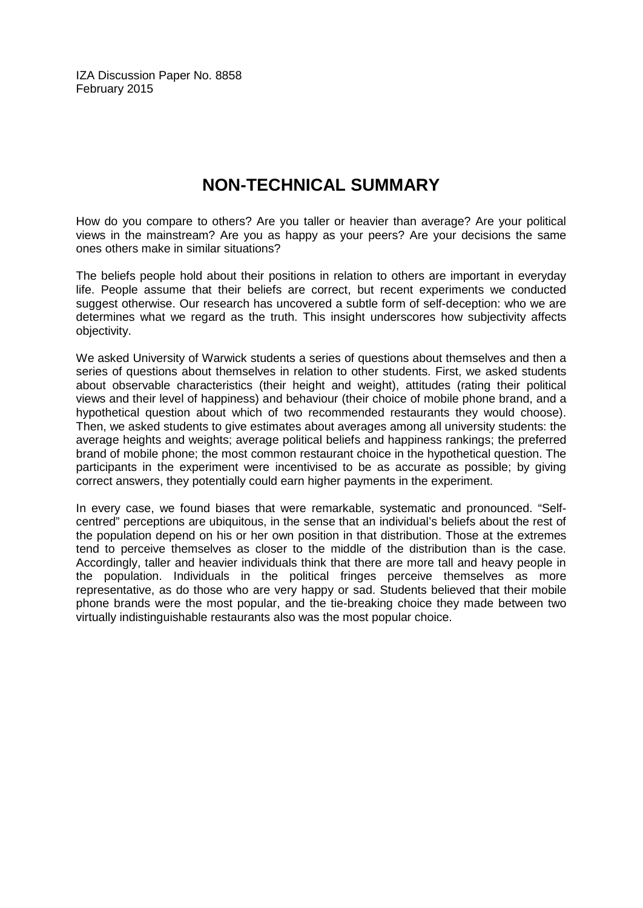IZA Discussion Paper No. 8858 February 2015

# **NON-TECHNICAL SUMMARY**

How do you compare to others? Are you taller or heavier than average? Are your political views in the mainstream? Are you as happy as your peers? Are your decisions the same ones others make in similar situations?

The beliefs people hold about their positions in relation to others are important in everyday life. People assume that their beliefs are correct, but recent experiments we conducted suggest otherwise. Our research has uncovered a subtle form of self-deception: who we are determines what we regard as the truth. This insight underscores how subjectivity affects objectivity.

We asked University of Warwick students a series of questions about themselves and then a series of questions about themselves in relation to other students. First, we asked students about observable characteristics (their height and weight), attitudes (rating their political views and their level of happiness) and behaviour (their choice of mobile phone brand, and a hypothetical question about which of two recommended restaurants they would choose). Then, we asked students to give estimates about averages among all university students: the average heights and weights; average political beliefs and happiness rankings; the preferred brand of mobile phone; the most common restaurant choice in the hypothetical question. The participants in the experiment were incentivised to be as accurate as possible; by giving correct answers, they potentially could earn higher payments in the experiment.

<span id="page-3-0"></span>In every case, we found biases that were remarkable, systematic and pronounced. "Selfcentred" perceptions are ubiquitous, in the sense that an individual's beliefs about the rest of the population depend on his or her own position in that distribution. Those at the extremes tend to perceive themselves as closer to the middle of the distribution than is the case. Accordingly, taller and heavier individuals think that there are more tall and heavy people in the population. Individuals in the political fringes perceive themselves as more representative, as do those who are very happy or sad. Students believed that their mobile phone brands were the most popular, and the tie-breaking choice they made between two virtually indistinguishable restaurants also was the most popular choice.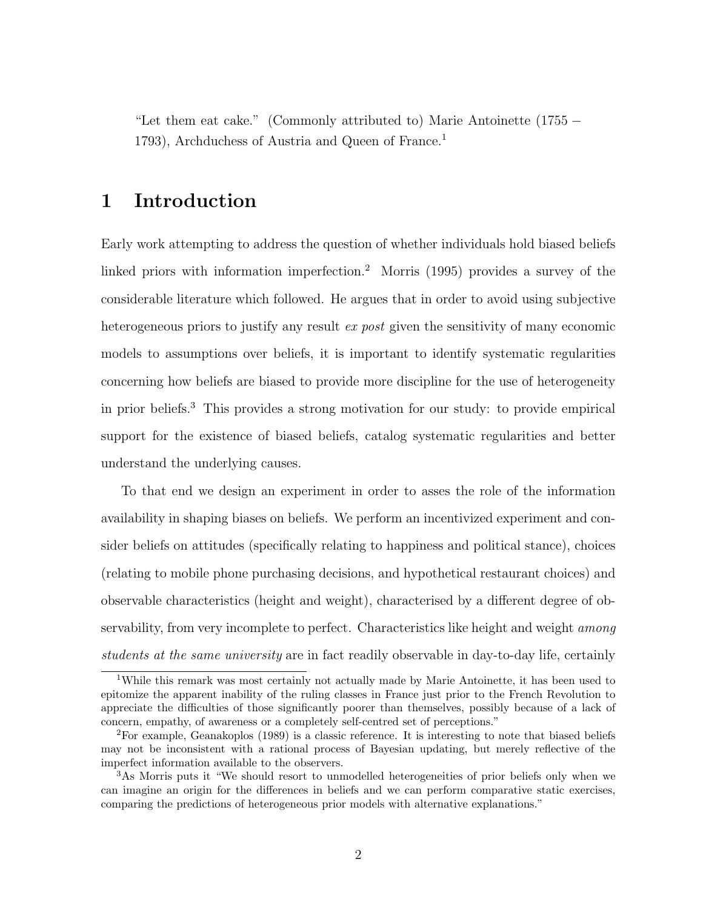"Let them eat cake." (Commonly attributed to) Marie Antoinette (1755 − 1793), Archduchess of Austria and Queen of France.<sup>1</sup>

### 1 Introduction

Early work attempting to address the question of whether individuals hold biased beliefs linked priors with information imperfection.<sup>2</sup> Morris (1995) provides a survey of the considerable literature which followed. He argues that in order to avoid using subjective heterogeneous priors to justify any result ex post given the sensitivity of many economic models to assumptions over beliefs, it is important to identify systematic regularities concerning how beliefs are biased to provide more discipline for the use of heterogeneity in prior beliefs.<sup>3</sup> This provides a strong motivation for our study: to provide empirical support for the existence of biased beliefs, catalog systematic regularities and better understand the underlying causes.

To that end we design an experiment in order to asses the role of the information availability in shaping biases on beliefs. We perform an incentivized experiment and consider beliefs on attitudes (specifically relating to happiness and political stance), choices (relating to mobile phone purchasing decisions, and hypothetical restaurant choices) and observable characteristics (height and weight), characterised by a different degree of observability, from very incomplete to perfect. Characteristics like height and weight *among* students at the same university are in fact readily observable in day-to-day life, certainly

<sup>1</sup>While this remark was most certainly not actually made by Marie Antoinette, it has been used to epitomize the apparent inability of the ruling classes in France just prior to the French Revolution to appreciate the difficulties of those significantly poorer than themselves, possibly because of a lack of concern, empathy, of awareness or a completely self-centred set of perceptions."

<sup>2</sup>For example, Geanakoplos (1989) is a classic reference. It is interesting to note that biased beliefs may not be inconsistent with a rational process of Bayesian updating, but merely reflective of the imperfect information available to the observers.

<sup>&</sup>lt;sup>3</sup>As Morris puts it "We should resort to unmodelled heterogeneities of prior beliefs only when we can imagine an origin for the differences in beliefs and we can perform comparative static exercises, comparing the predictions of heterogeneous prior models with alternative explanations."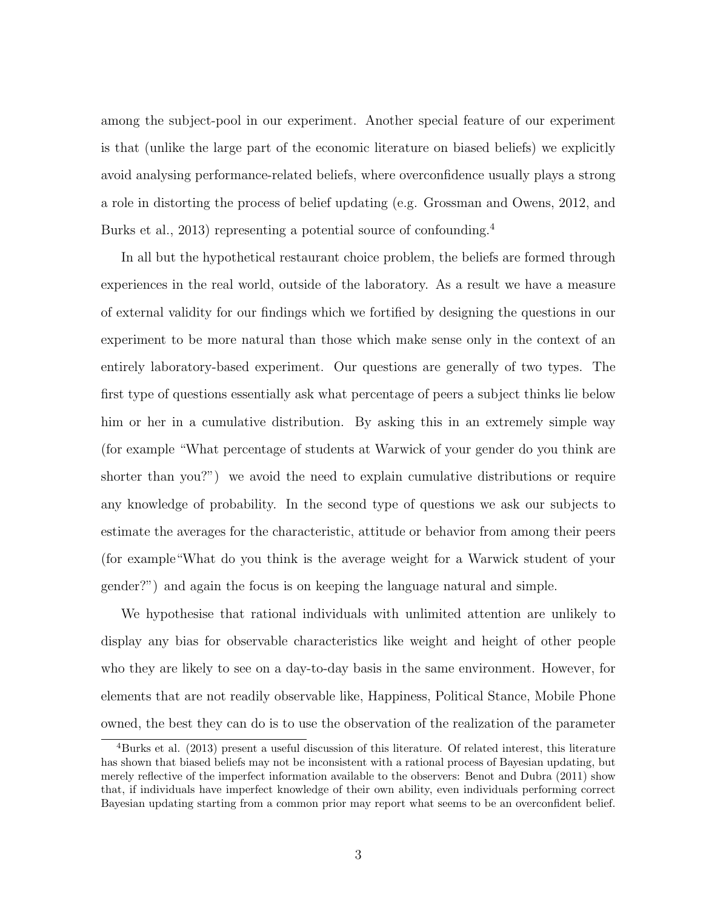among the subject-pool in our experiment. Another special feature of our experiment is that (unlike the large part of the economic literature on biased beliefs) we explicitly avoid analysing performance-related beliefs, where overconfidence usually plays a strong a role in distorting the process of belief updating (e.g. Grossman and Owens, 2012, and Burks et al., 2013) representing a potential source of confounding.<sup>4</sup>

In all but the hypothetical restaurant choice problem, the beliefs are formed through experiences in the real world, outside of the laboratory. As a result we have a measure of external validity for our findings which we fortified by designing the questions in our experiment to be more natural than those which make sense only in the context of an entirely laboratory-based experiment. Our questions are generally of two types. The first type of questions essentially ask what percentage of peers a subject thinks lie below him or her in a cumulative distribution. By asking this in an extremely simple way (for example "What percentage of students at Warwick of your gender do you think are shorter than you?") we avoid the need to explain cumulative distributions or require any knowledge of probability. In the second type of questions we ask our subjects to estimate the averages for the characteristic, attitude or behavior from among their peers (for example"What do you think is the average weight for a Warwick student of your gender?") and again the focus is on keeping the language natural and simple.

We hypothesise that rational individuals with unlimited attention are unlikely to display any bias for observable characteristics like weight and height of other people who they are likely to see on a day-to-day basis in the same environment. However, for elements that are not readily observable like, Happiness, Political Stance, Mobile Phone owned, the best they can do is to use the observation of the realization of the parameter

<sup>4</sup>Burks et al. (2013) present a useful discussion of this literature. Of related interest, this literature has shown that biased beliefs may not be inconsistent with a rational process of Bayesian updating, but merely reflective of the imperfect information available to the observers: Benot and Dubra (2011) show that, if individuals have imperfect knowledge of their own ability, even individuals performing correct Bayesian updating starting from a common prior may report what seems to be an overconfident belief.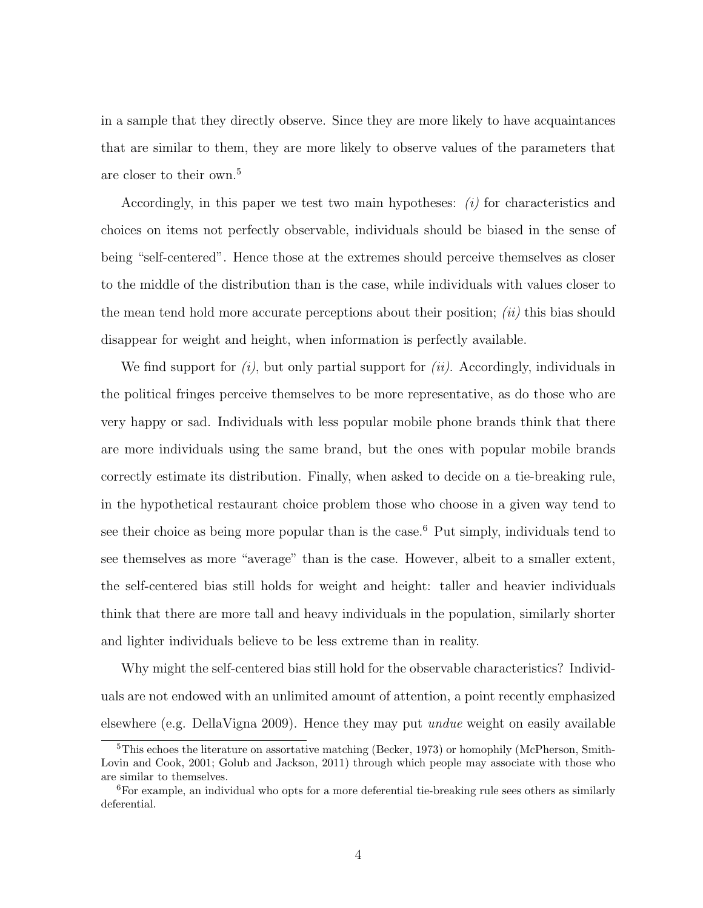in a sample that they directly observe. Since they are more likely to have acquaintances that are similar to them, they are more likely to observe values of the parameters that are closer to their own.<sup>5</sup>

Accordingly, in this paper we test two main hypotheses:  $(i)$  for characteristics and choices on items not perfectly observable, individuals should be biased in the sense of being "self-centered". Hence those at the extremes should perceive themselves as closer to the middle of the distribution than is the case, while individuals with values closer to the mean tend hold more accurate perceptions about their position;  $(ii)$  this bias should disappear for weight and height, when information is perfectly available.

We find support for  $(i)$ , but only partial support for  $(ii)$ . Accordingly, individuals in the political fringes perceive themselves to be more representative, as do those who are very happy or sad. Individuals with less popular mobile phone brands think that there are more individuals using the same brand, but the ones with popular mobile brands correctly estimate its distribution. Finally, when asked to decide on a tie-breaking rule, in the hypothetical restaurant choice problem those who choose in a given way tend to see their choice as being more popular than is the case.<sup>6</sup> Put simply, individuals tend to see themselves as more "average" than is the case. However, albeit to a smaller extent, the self-centered bias still holds for weight and height: taller and heavier individuals think that there are more tall and heavy individuals in the population, similarly shorter and lighter individuals believe to be less extreme than in reality.

Why might the self-centered bias still hold for the observable characteristics? Individuals are not endowed with an unlimited amount of attention, a point recently emphasized elsewhere (e.g. DellaVigna 2009). Hence they may put undue weight on easily available

<sup>&</sup>lt;sup>5</sup>This echoes the literature on assortative matching (Becker, 1973) or homophily (McPherson, Smith-Lovin and Cook, 2001; Golub and Jackson, 2011) through which people may associate with those who are similar to themselves.

<sup>6</sup>For example, an individual who opts for a more deferential tie-breaking rule sees others as similarly deferential.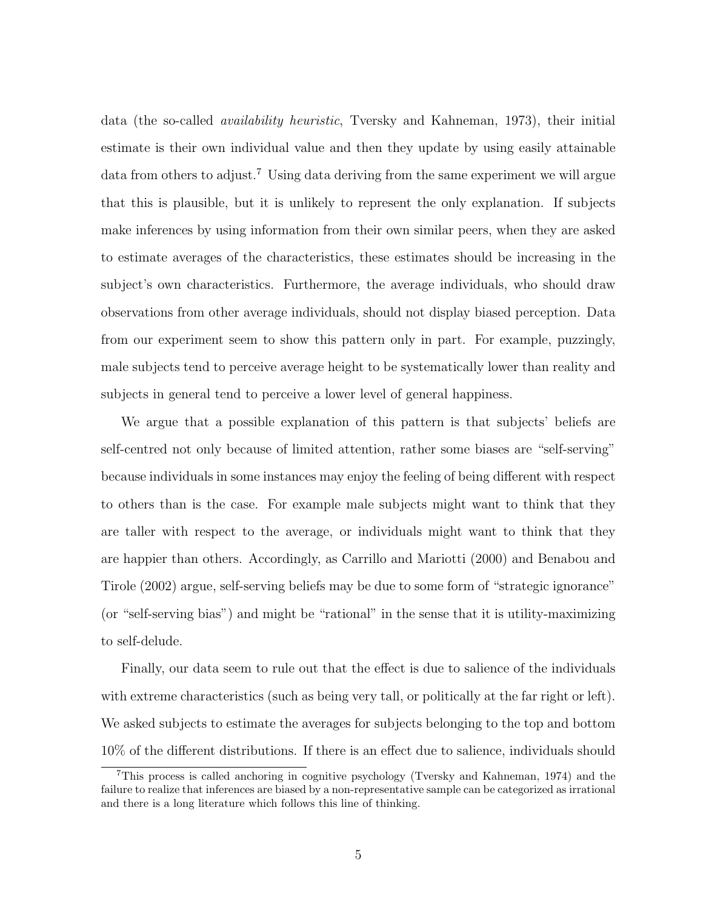data (the so-called availability heuristic, Tversky and Kahneman, 1973), their initial estimate is their own individual value and then they update by using easily attainable data from others to adjust.<sup>7</sup> Using data deriving from the same experiment we will argue that this is plausible, but it is unlikely to represent the only explanation. If subjects make inferences by using information from their own similar peers, when they are asked to estimate averages of the characteristics, these estimates should be increasing in the subject's own characteristics. Furthermore, the average individuals, who should draw observations from other average individuals, should not display biased perception. Data from our experiment seem to show this pattern only in part. For example, puzzingly, male subjects tend to perceive average height to be systematically lower than reality and subjects in general tend to perceive a lower level of general happiness.

We argue that a possible explanation of this pattern is that subjects' beliefs are self-centred not only because of limited attention, rather some biases are "self-serving" because individuals in some instances may enjoy the feeling of being different with respect to others than is the case. For example male subjects might want to think that they are taller with respect to the average, or individuals might want to think that they are happier than others. Accordingly, as Carrillo and Mariotti (2000) and Benabou and Tirole (2002) argue, self-serving beliefs may be due to some form of "strategic ignorance" (or "self-serving bias") and might be "rational" in the sense that it is utility-maximizing to self-delude.

Finally, our data seem to rule out that the effect is due to salience of the individuals with extreme characteristics (such as being very tall, or politically at the far right or left). We asked subjects to estimate the averages for subjects belonging to the top and bottom 10% of the different distributions. If there is an effect due to salience, individuals should

<sup>7</sup>This process is called anchoring in cognitive psychology (Tversky and Kahneman, 1974) and the failure to realize that inferences are biased by a non-representative sample can be categorized as irrational and there is a long literature which follows this line of thinking.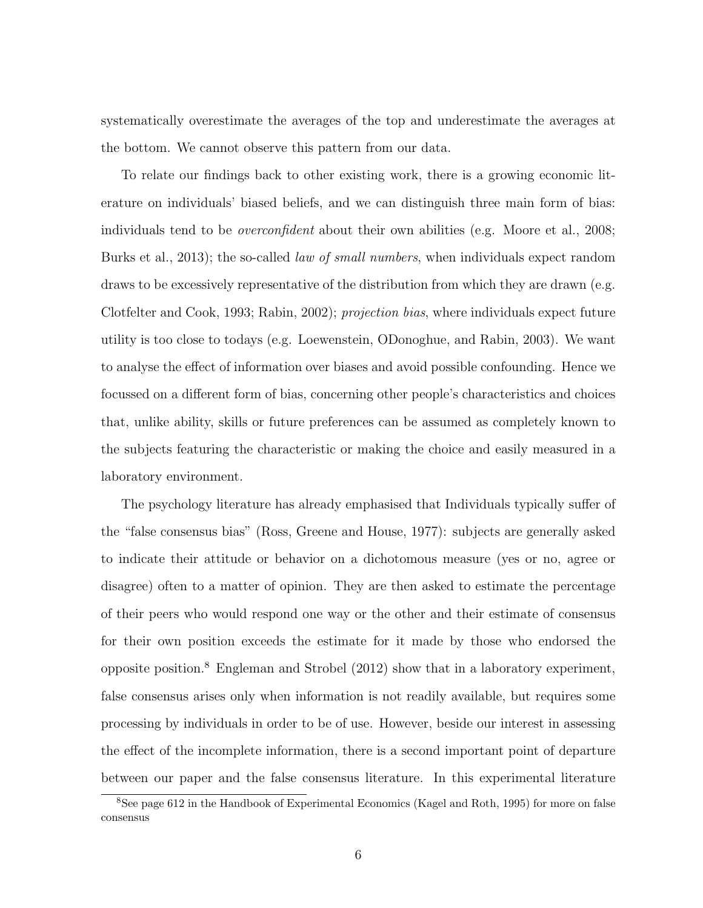systematically overestimate the averages of the top and underestimate the averages at the bottom. We cannot observe this pattern from our data.

To relate our findings back to other existing work, there is a growing economic literature on individuals' biased beliefs, and we can distinguish three main form of bias: individuals tend to be *overconfident* about their own abilities (e.g. Moore et al., 2008; Burks et al., 2013); the so-called *law of small numbers*, when individuals expect random draws to be excessively representative of the distribution from which they are drawn (e.g. Clotfelter and Cook, 1993; Rabin, 2002); projection bias, where individuals expect future utility is too close to todays (e.g. Loewenstein, ODonoghue, and Rabin, 2003). We want to analyse the effect of information over biases and avoid possible confounding. Hence we focussed on a different form of bias, concerning other people's characteristics and choices that, unlike ability, skills or future preferences can be assumed as completely known to the subjects featuring the characteristic or making the choice and easily measured in a laboratory environment.

The psychology literature has already emphasised that Individuals typically suffer of the "false consensus bias" (Ross, Greene and House, 1977): subjects are generally asked to indicate their attitude or behavior on a dichotomous measure (yes or no, agree or disagree) often to a matter of opinion. They are then asked to estimate the percentage of their peers who would respond one way or the other and their estimate of consensus for their own position exceeds the estimate for it made by those who endorsed the opposite position.<sup>8</sup> Engleman and Strobel (2012) show that in a laboratory experiment, false consensus arises only when information is not readily available, but requires some processing by individuals in order to be of use. However, beside our interest in assessing the effect of the incomplete information, there is a second important point of departure between our paper and the false consensus literature. In this experimental literature

<sup>8</sup>See page 612 in the Handbook of Experimental Economics (Kagel and Roth, 1995) for more on false consensus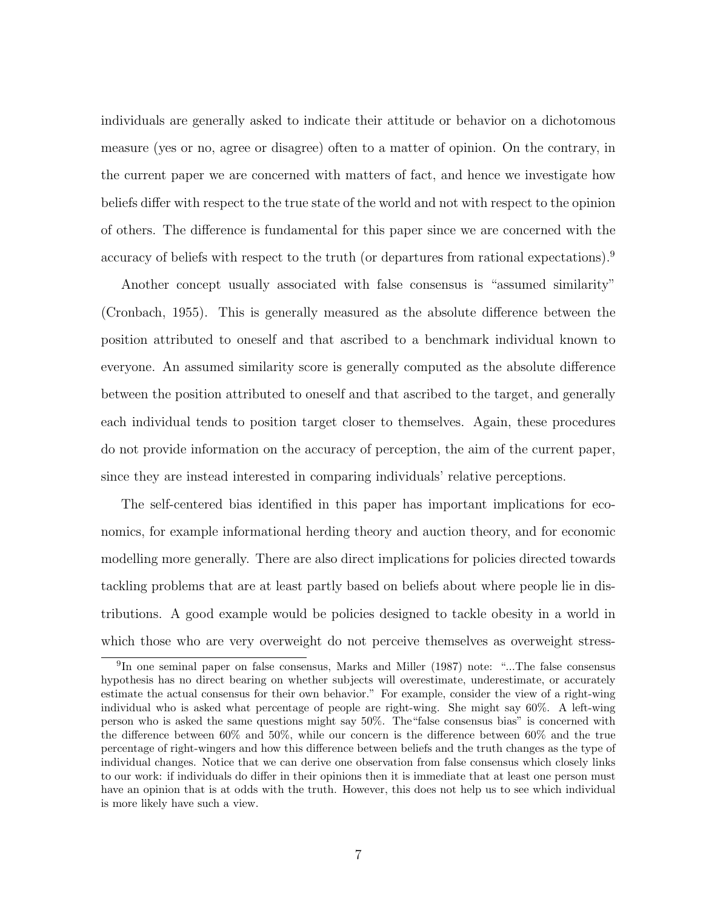individuals are generally asked to indicate their attitude or behavior on a dichotomous measure (yes or no, agree or disagree) often to a matter of opinion. On the contrary, in the current paper we are concerned with matters of fact, and hence we investigate how beliefs differ with respect to the true state of the world and not with respect to the opinion of others. The difference is fundamental for this paper since we are concerned with the accuracy of beliefs with respect to the truth (or departures from rational expectations).<sup>9</sup>

Another concept usually associated with false consensus is "assumed similarity" (Cronbach, 1955). This is generally measured as the absolute difference between the position attributed to oneself and that ascribed to a benchmark individual known to everyone. An assumed similarity score is generally computed as the absolute difference between the position attributed to oneself and that ascribed to the target, and generally each individual tends to position target closer to themselves. Again, these procedures do not provide information on the accuracy of perception, the aim of the current paper, since they are instead interested in comparing individuals' relative perceptions.

The self-centered bias identified in this paper has important implications for economics, for example informational herding theory and auction theory, and for economic modelling more generally. There are also direct implications for policies directed towards tackling problems that are at least partly based on beliefs about where people lie in distributions. A good example would be policies designed to tackle obesity in a world in which those who are very overweight do not perceive themselves as overweight stress-

<sup>&</sup>lt;sup>9</sup>In one seminal paper on false consensus, Marks and Miller (1987) note: "...The false consensus hypothesis has no direct bearing on whether subjects will overestimate, underestimate, or accurately estimate the actual consensus for their own behavior." For example, consider the view of a right-wing individual who is asked what percentage of people are right-wing. She might say 60%. A left-wing person who is asked the same questions might say 50%. The"false consensus bias" is concerned with the difference between 60% and 50%, while our concern is the difference between 60% and the true percentage of right-wingers and how this difference between beliefs and the truth changes as the type of individual changes. Notice that we can derive one observation from false consensus which closely links to our work: if individuals do differ in their opinions then it is immediate that at least one person must have an opinion that is at odds with the truth. However, this does not help us to see which individual is more likely have such a view.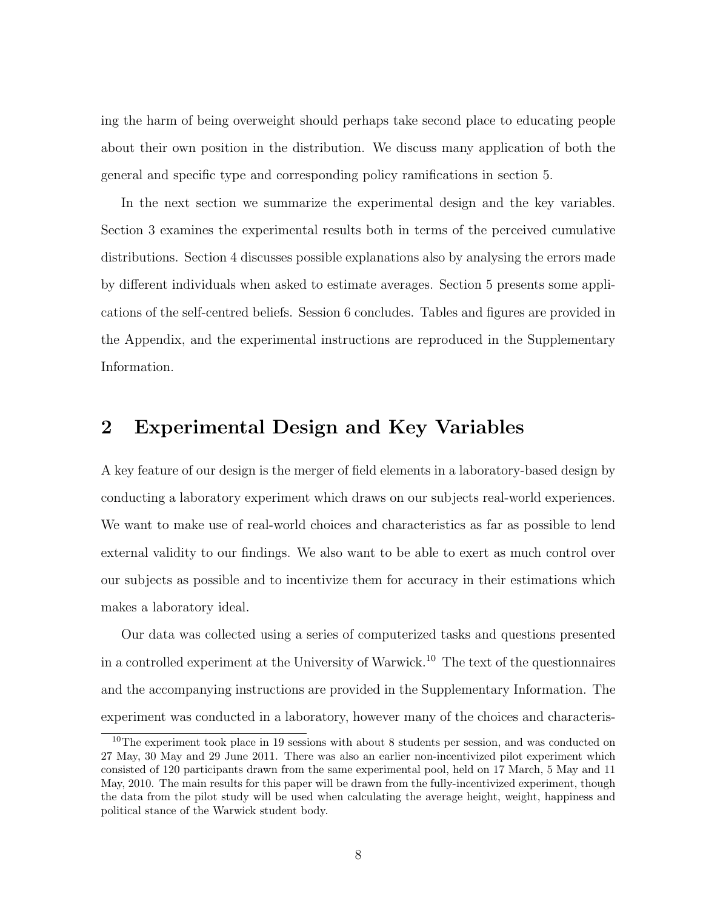ing the harm of being overweight should perhaps take second place to educating people about their own position in the distribution. We discuss many application of both the general and specific type and corresponding policy ramifications in section 5.

In the next section we summarize the experimental design and the key variables. Section 3 examines the experimental results both in terms of the perceived cumulative distributions. Section 4 discusses possible explanations also by analysing the errors made by different individuals when asked to estimate averages. Section 5 presents some applications of the self-centred beliefs. Session 6 concludes. Tables and figures are provided in the Appendix, and the experimental instructions are reproduced in the Supplementary Information.

# 2 Experimental Design and Key Variables

A key feature of our design is the merger of field elements in a laboratory-based design by conducting a laboratory experiment which draws on our subjects real-world experiences. We want to make use of real-world choices and characteristics as far as possible to lend external validity to our findings. We also want to be able to exert as much control over our subjects as possible and to incentivize them for accuracy in their estimations which makes a laboratory ideal.

Our data was collected using a series of computerized tasks and questions presented in a controlled experiment at the University of Warwick.<sup>10</sup> The text of the questionnaires and the accompanying instructions are provided in the Supplementary Information. The experiment was conducted in a laboratory, however many of the choices and characteris-

<sup>&</sup>lt;sup>10</sup>The experiment took place in 19 sessions with about 8 students per session, and was conducted on 27 May, 30 May and 29 June 2011. There was also an earlier non-incentivized pilot experiment which consisted of 120 participants drawn from the same experimental pool, held on 17 March, 5 May and 11 May, 2010. The main results for this paper will be drawn from the fully-incentivized experiment, though the data from the pilot study will be used when calculating the average height, weight, happiness and political stance of the Warwick student body.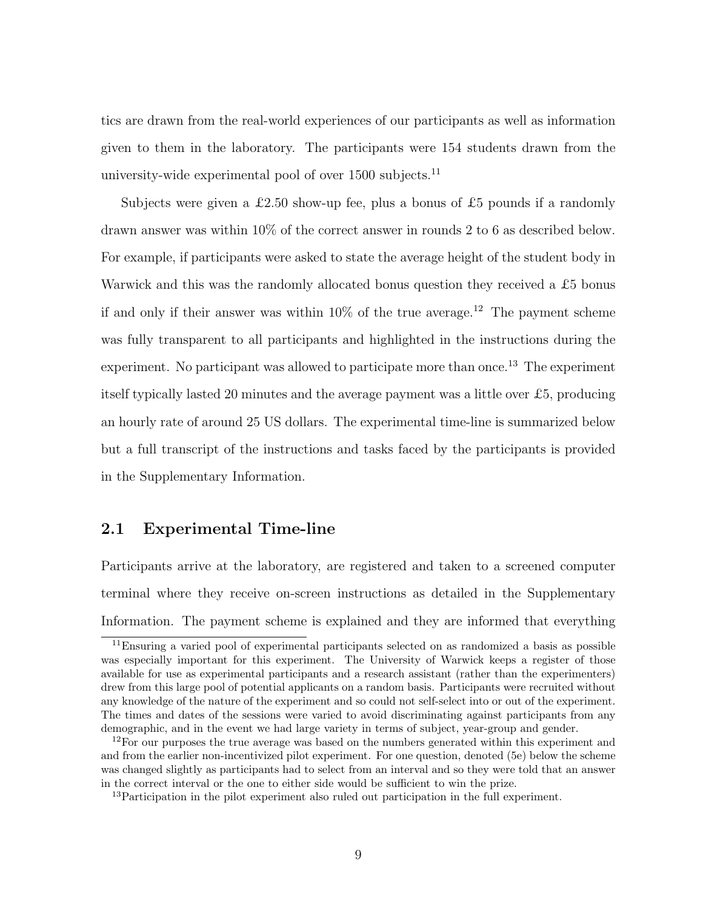tics are drawn from the real-world experiences of our participants as well as information given to them in the laboratory. The participants were 154 students drawn from the university-wide experimental pool of over  $1500$  subjects.<sup>11</sup>

Subjects were given a £2.50 show-up fee, plus a bonus of £5 pounds if a randomly drawn answer was within 10% of the correct answer in rounds 2 to 6 as described below. For example, if participants were asked to state the average height of the student body in Warwick and this was the randomly allocated bonus question they received a £5 bonus if and only if their answer was within  $10\%$  of the true average.<sup>12</sup> The payment scheme was fully transparent to all participants and highlighted in the instructions during the experiment. No participant was allowed to participate more than once.<sup>13</sup> The experiment itself typically lasted 20 minutes and the average payment was a little over £5, producing an hourly rate of around 25 US dollars. The experimental time-line is summarized below but a full transcript of the instructions and tasks faced by the participants is provided in the Supplementary Information.

### 2.1 Experimental Time-line

Participants arrive at the laboratory, are registered and taken to a screened computer terminal where they receive on-screen instructions as detailed in the Supplementary Information. The payment scheme is explained and they are informed that everything

<sup>&</sup>lt;sup>11</sup>Ensuring a varied pool of experimental participants selected on as randomized a basis as possible was especially important for this experiment. The University of Warwick keeps a register of those available for use as experimental participants and a research assistant (rather than the experimenters) drew from this large pool of potential applicants on a random basis. Participants were recruited without any knowledge of the nature of the experiment and so could not self-select into or out of the experiment. The times and dates of the sessions were varied to avoid discriminating against participants from any demographic, and in the event we had large variety in terms of subject, year-group and gender.

<sup>&</sup>lt;sup>12</sup>For our purposes the true average was based on the numbers generated within this experiment and and from the earlier non-incentivized pilot experiment. For one question, denoted (5e) below the scheme was changed slightly as participants had to select from an interval and so they were told that an answer in the correct interval or the one to either side would be sufficient to win the prize.

<sup>13</sup>Participation in the pilot experiment also ruled out participation in the full experiment.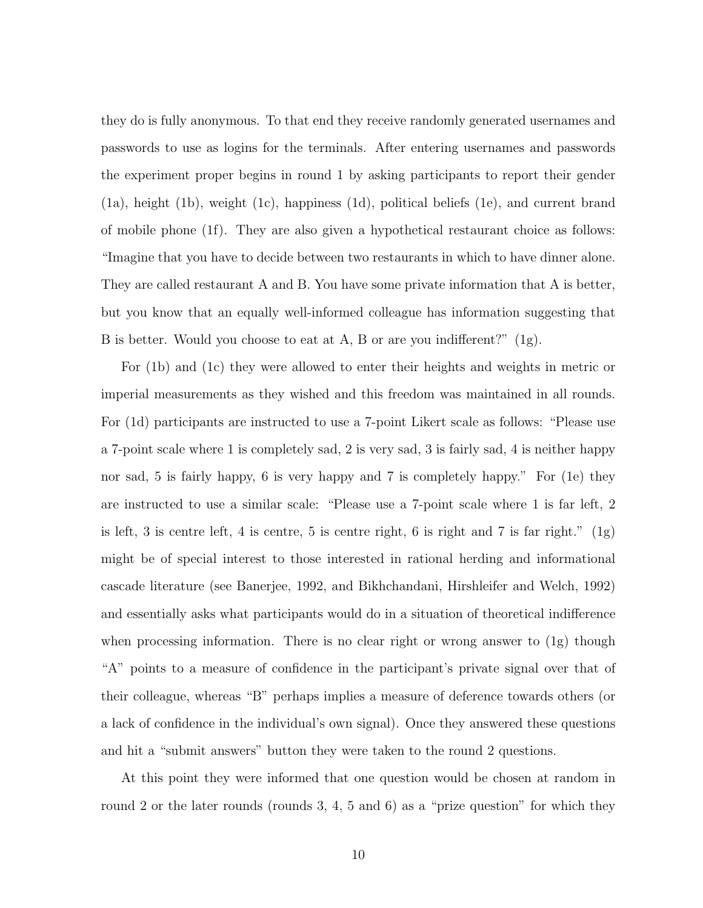they do is fully anonymous. To that end they receive randomly generated usernames and passwords to use as logins for the terminals. After entering usernames and passwords the experiment proper begins in round 1 by asking participants to report their gender (1a), height (1b), weight (1c), happiness (1d), political beliefs (1e), and current brand of mobile phone (1f). They are also given a hypothetical restaurant choice as follows: "Imagine that you have to decide between two restaurants in which to have dinner alone. They are called restaurant A and B. You have some private information that A is better, but you know that an equally well-informed colleague has information suggesting that B is better. Would you choose to eat at A, B or are you indifferent?" (1g).

For (1b) and (1c) they were allowed to enter their heights and weights in metric or imperial measurements as they wished and this freedom was maintained in all rounds. For (1d) participants are instructed to use a 7-point Likert scale as follows: "Please use a 7-point scale where 1 is completely sad, 2 is very sad, 3 is fairly sad, 4 is neither happy nor sad, 5 is fairly happy, 6 is very happy and 7 is completely happy." For (1e) they are instructed to use a similar scale: "Please use a 7-point scale where 1 is far left, 2 is left, 3 is centre left, 4 is centre, 5 is centre right, 6 is right and 7 is far right."  $(1g)$ might be of special interest to those interested in rational herding and informational cascade literature (see Banerjee, 1992, and Bikhchandani, Hirshleifer and Welch, 1992) and essentially asks what participants would do in a situation of theoretical indifference when processing information. There is no clear right or wrong answer to  $(1g)$  though "A" points to a measure of confidence in the participant's private signal over that of their colleague, whereas "B" perhaps implies a measure of deference towards others (or a lack of confidence in the individual's own signal). Once they answered these questions and hit a "submit answers" button they were taken to the round 2 questions.

At this point they were informed that one question would be chosen at random in round 2 or the later rounds (rounds 3, 4, 5 and 6) as a "prize question" for which they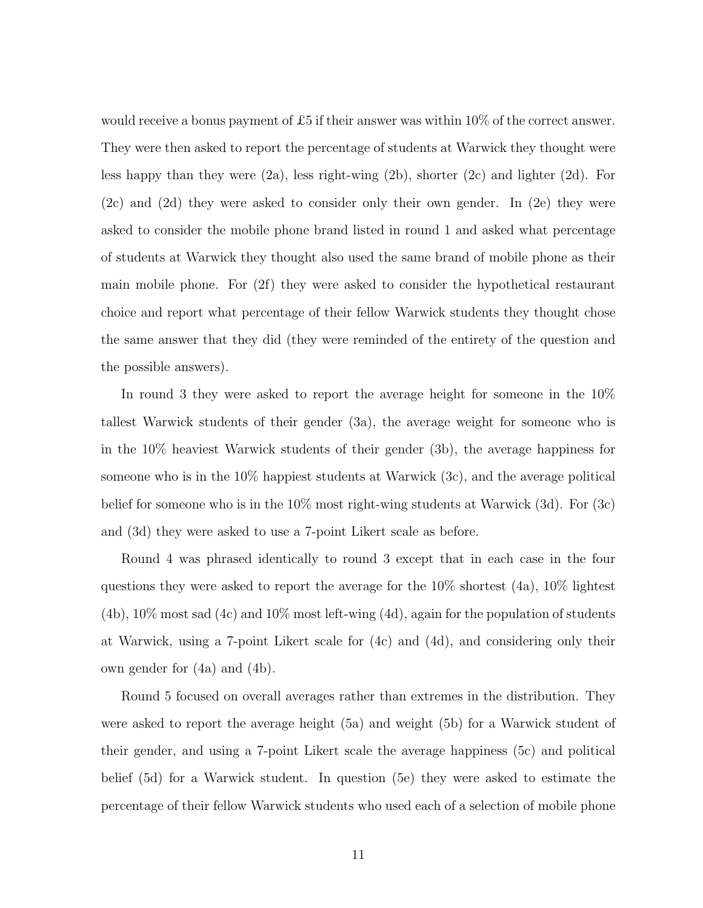would receive a bonus payment of £5 if their answer was within  $10\%$  of the correct answer. They were then asked to report the percentage of students at Warwick they thought were less happy than they were (2a), less right-wing (2b), shorter (2c) and lighter (2d). For (2c) and (2d) they were asked to consider only their own gender. In (2e) they were asked to consider the mobile phone brand listed in round 1 and asked what percentage of students at Warwick they thought also used the same brand of mobile phone as their main mobile phone. For (2f) they were asked to consider the hypothetical restaurant choice and report what percentage of their fellow Warwick students they thought chose the same answer that they did (they were reminded of the entirety of the question and the possible answers).

In round 3 they were asked to report the average height for someone in the 10% tallest Warwick students of their gender (3a), the average weight for someone who is in the 10% heaviest Warwick students of their gender (3b), the average happiness for someone who is in the 10% happiest students at Warwick (3c), and the average political belief for someone who is in the 10% most right-wing students at Warwick (3d). For (3c) and (3d) they were asked to use a 7-point Likert scale as before.

Round 4 was phrased identically to round 3 except that in each case in the four questions they were asked to report the average for the 10% shortest (4a), 10% lightest  $(4b)$ ,  $10\%$  most sad  $(4c)$  and  $10\%$  most left-wing  $(4d)$ , again for the population of students at Warwick, using a 7-point Likert scale for (4c) and (4d), and considering only their own gender for (4a) and (4b).

Round 5 focused on overall averages rather than extremes in the distribution. They were asked to report the average height (5a) and weight (5b) for a Warwick student of their gender, and using a 7-point Likert scale the average happiness (5c) and political belief (5d) for a Warwick student. In question (5e) they were asked to estimate the percentage of their fellow Warwick students who used each of a selection of mobile phone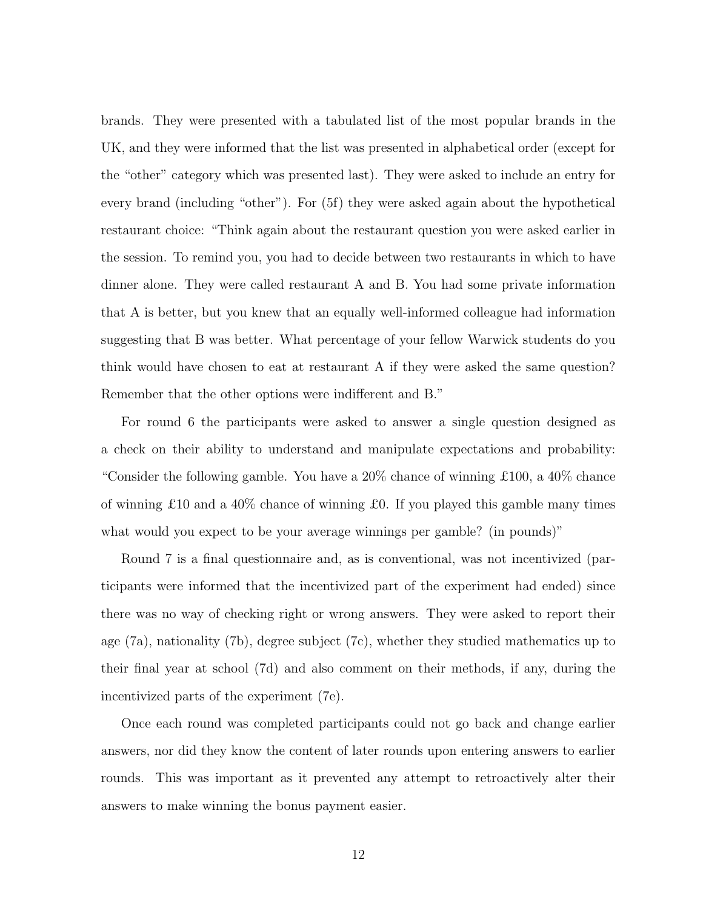brands. They were presented with a tabulated list of the most popular brands in the UK, and they were informed that the list was presented in alphabetical order (except for the "other" category which was presented last). They were asked to include an entry for every brand (including "other"). For (5f) they were asked again about the hypothetical restaurant choice: "Think again about the restaurant question you were asked earlier in the session. To remind you, you had to decide between two restaurants in which to have dinner alone. They were called restaurant A and B. You had some private information that A is better, but you knew that an equally well-informed colleague had information suggesting that B was better. What percentage of your fellow Warwick students do you think would have chosen to eat at restaurant A if they were asked the same question? Remember that the other options were indifferent and B."

For round 6 the participants were asked to answer a single question designed as a check on their ability to understand and manipulate expectations and probability: "Consider the following gamble. You have a  $20\%$  chance of winning £100, a 40% chance of winning £10 and a 40% chance of winning £0. If you played this gamble many times what would you expect to be your average winnings per gamble? (in pounds)"

Round 7 is a final questionnaire and, as is conventional, was not incentivized (participants were informed that the incentivized part of the experiment had ended) since there was no way of checking right or wrong answers. They were asked to report their age (7a), nationality (7b), degree subject (7c), whether they studied mathematics up to their final year at school (7d) and also comment on their methods, if any, during the incentivized parts of the experiment (7e).

Once each round was completed participants could not go back and change earlier answers, nor did they know the content of later rounds upon entering answers to earlier rounds. This was important as it prevented any attempt to retroactively alter their answers to make winning the bonus payment easier.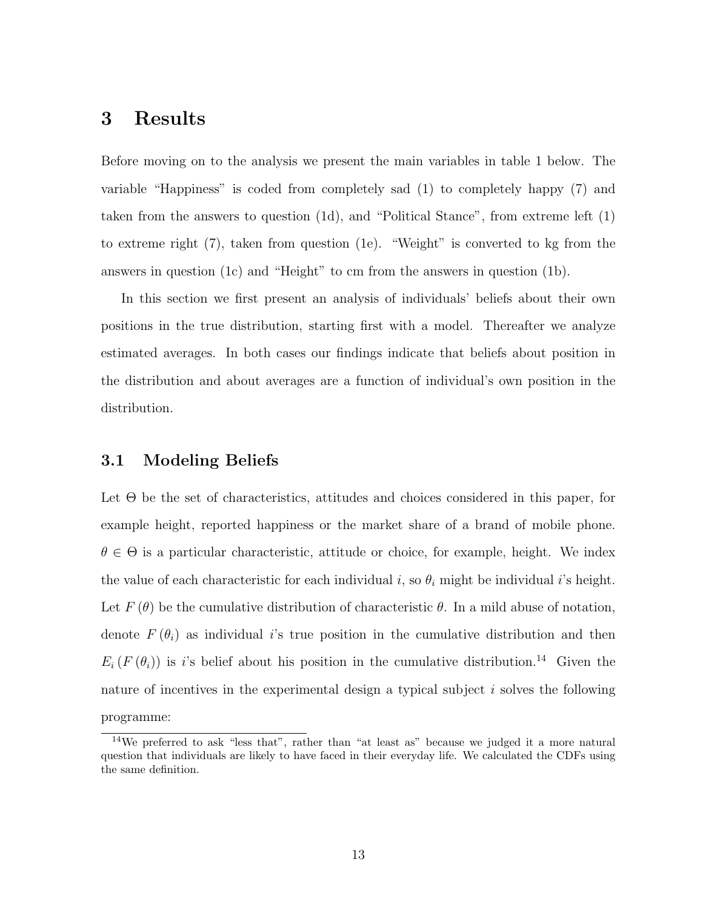### 3 Results

Before moving on to the analysis we present the main variables in table 1 below. The variable "Happiness" is coded from completely sad (1) to completely happy (7) and taken from the answers to question (1d), and "Political Stance", from extreme left (1) to extreme right (7), taken from question (1e). "Weight" is converted to kg from the answers in question (1c) and "Height" to cm from the answers in question (1b).

In this section we first present an analysis of individuals' beliefs about their own positions in the true distribution, starting first with a model. Thereafter we analyze estimated averages. In both cases our findings indicate that beliefs about position in the distribution and about averages are a function of individual's own position in the distribution.

### 3.1 Modeling Beliefs

Let Θ be the set of characteristics, attitudes and choices considered in this paper, for example height, reported happiness or the market share of a brand of mobile phone.  $\theta \in \Theta$  is a particular characteristic, attitude or choice, for example, height. We index the value of each characteristic for each individual i, so  $\theta_i$  might be individual i's height. Let  $F(\theta)$  be the cumulative distribution of characteristic  $\theta$ . In a mild abuse of notation, denote  $F(\theta_i)$  as individual is true position in the cumulative distribution and then  $E_i(F(\theta_i))$  is i's belief about his position in the cumulative distribution.<sup>14</sup> Given the nature of incentives in the experimental design a typical subject  $i$  solves the following programme:

<sup>14</sup>We preferred to ask "less that", rather than "at least as" because we judged it a more natural question that individuals are likely to have faced in their everyday life. We calculated the CDFs using the same definition.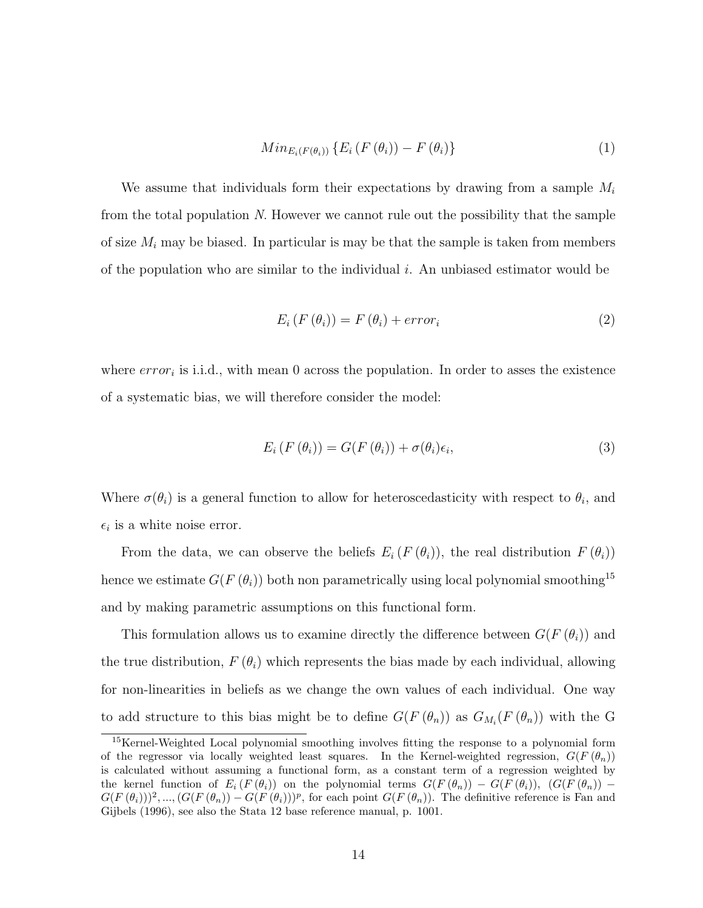$$
Min_{E_i(F(\theta_i))} \{ E_i(F(\theta_i)) - F(\theta_i) \}
$$
\n
$$
(1)
$$

We assume that individuals form their expectations by drawing from a sample  $M_i$ from the total population N. However we cannot rule out the possibility that the sample of size  $M_i$  may be biased. In particular is may be that the sample is taken from members of the population who are similar to the individual i. An unbiased estimator would be

$$
E_i(F(\theta_i)) = F(\theta_i) + error_i \tag{2}
$$

where  $error_i$  is i.i.d., with mean 0 across the population. In order to asses the existence of a systematic bias, we will therefore consider the model:

$$
E_i(F(\theta_i)) = G(F(\theta_i)) + \sigma(\theta_i)\epsilon_i,
$$
\n(3)

Where  $\sigma(\theta_i)$  is a general function to allow for heteroscedasticity with respect to  $\theta_i$ , and  $\epsilon_i$  is a white noise error.

From the data, we can observe the beliefs  $E_i(F(\theta_i))$ , the real distribution  $F(\theta_i)$ hence we estimate  $G(F(\theta_i))$  both non parametrically using local polynomial smoothing<sup>15</sup> and by making parametric assumptions on this functional form.

This formulation allows us to examine directly the difference between  $G(F(\theta_i))$  and the true distribution,  $F(\theta_i)$  which represents the bias made by each individual, allowing for non-linearities in beliefs as we change the own values of each individual. One way to add structure to this bias might be to define  $G(F(\theta_n))$  as  $G_{M_i}(F(\theta_n))$  with the G

<sup>&</sup>lt;sup>15</sup>Kernel-Weighted Local polynomial smoothing involves fitting the response to a polynomial form of the regressor via locally weighted least squares. In the Kernel-weighted regression,  $G(F(\theta_n))$ is calculated without assuming a functional form, as a constant term of a regression weighted by the kernel function of  $E_i(F(\theta_i))$  on the polynomial terms  $G(F(\theta_n)) - G(F(\theta_i))$ ,  $(G(F(\theta_n)) G(F(\theta_i))^2, ..., (G(F(\theta_n)) - G(F(\theta_i)))^p$ , for each point  $G(F(\theta_n))$ . The definitive reference is Fan and Gijbels (1996), see also the Stata 12 base reference manual, p. 1001.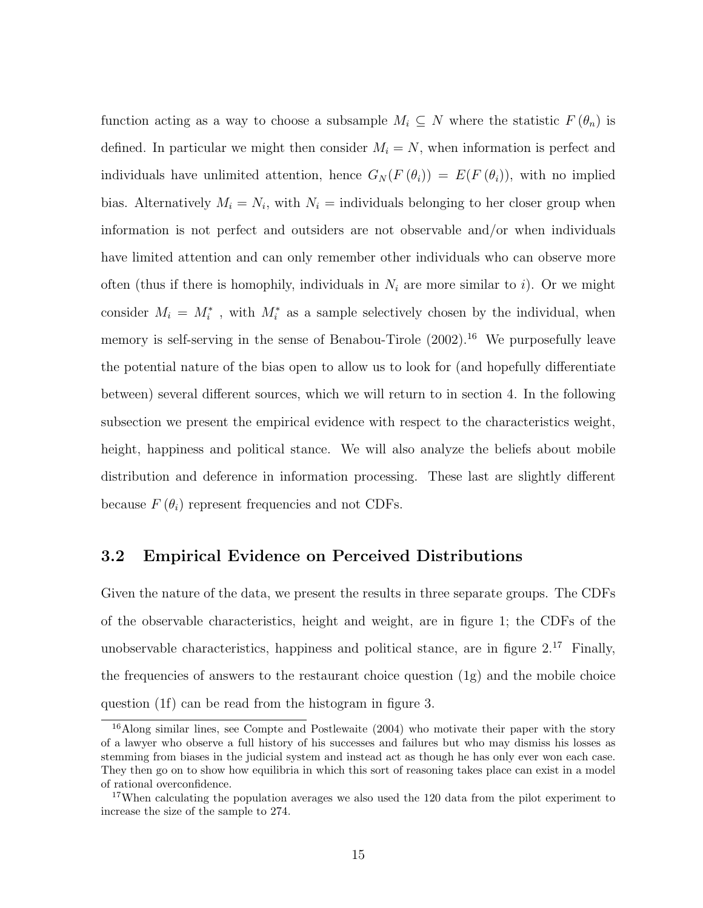function acting as a way to choose a subsample  $M_i \subseteq N$  where the statistic  $F(\theta_n)$  is defined. In particular we might then consider  $M_i = N$ , when information is perfect and individuals have unlimited attention, hence  $G_N(F(\theta_i)) = E(F(\theta_i))$ , with no implied bias. Alternatively  $M_i = N_i$ , with  $N_i =$  individuals belonging to her closer group when information is not perfect and outsiders are not observable and/or when individuals have limited attention and can only remember other individuals who can observe more often (thus if there is homophily, individuals in  $N_i$  are more similar to i). Or we might consider  $M_i = M_i^*$ , with  $M_i^*$  as a sample selectively chosen by the individual, when memory is self-serving in the sense of Benabou-Tirole  $(2002).<sup>16</sup>$  We purposefully leave the potential nature of the bias open to allow us to look for (and hopefully differentiate between) several different sources, which we will return to in section 4. In the following subsection we present the empirical evidence with respect to the characteristics weight, height, happiness and political stance. We will also analyze the beliefs about mobile distribution and deference in information processing. These last are slightly different because  $F(\theta_i)$  represent frequencies and not CDFs.

### 3.2 Empirical Evidence on Perceived Distributions

Given the nature of the data, we present the results in three separate groups. The CDFs of the observable characteristics, height and weight, are in figure 1; the CDFs of the unobservable characteristics, happiness and political stance, are in figure  $2^{17}$  Finally, the frequencies of answers to the restaurant choice question (1g) and the mobile choice question (1f) can be read from the histogram in figure 3.

<sup>&</sup>lt;sup>16</sup>Along similar lines, see Compte and Postlewaite (2004) who motivate their paper with the story of a lawyer who observe a full history of his successes and failures but who may dismiss his losses as stemming from biases in the judicial system and instead act as though he has only ever won each case. They then go on to show how equilibria in which this sort of reasoning takes place can exist in a model of rational overconfidence.

<sup>&</sup>lt;sup>17</sup>When calculating the population averages we also used the 120 data from the pilot experiment to increase the size of the sample to 274.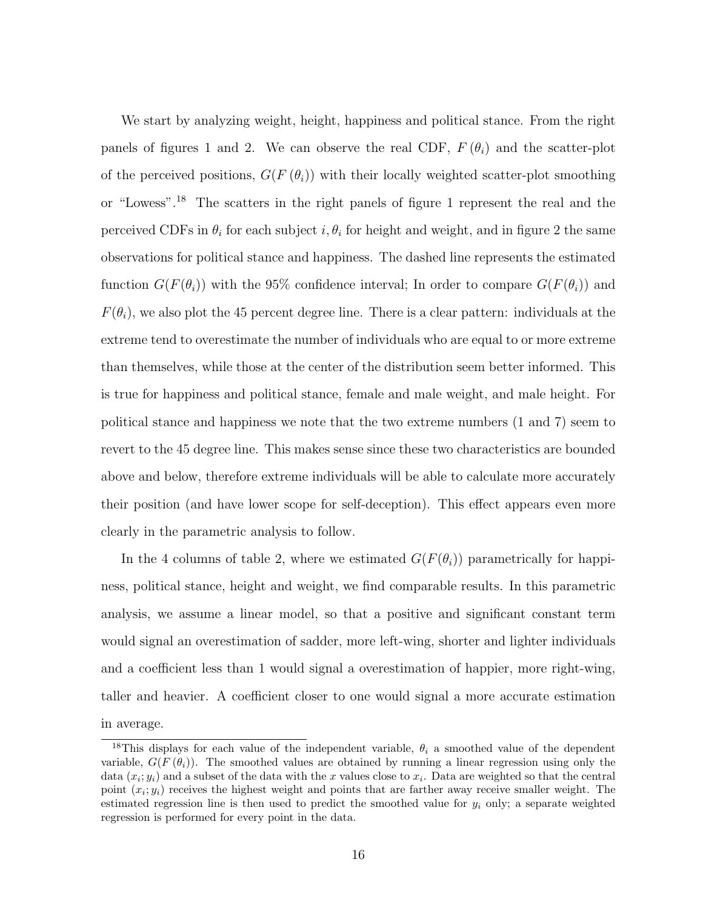We start by analyzing weight, height, happiness and political stance. From the right panels of figures 1 and 2. We can observe the real CDF,  $F(\theta_i)$  and the scatter-plot of the perceived positions,  $G(F(\theta_i))$  with their locally weighted scatter-plot smoothing or "Lowess".<sup>18</sup> The scatters in the right panels of figure 1 represent the real and the perceived CDFs in  $\theta_i$  for each subject  $i, \theta_i$  for height and weight, and in figure 2 the same observations for political stance and happiness. The dashed line represents the estimated function  $G(F(\theta_i))$  with the 95% confidence interval; In order to compare  $G(F(\theta_i))$  and  $F(\theta_i)$ , we also plot the 45 percent degree line. There is a clear pattern: individuals at the extreme tend to overestimate the number of individuals who are equal to or more extreme than themselves, while those at the center of the distribution seem better informed. This is true for happiness and political stance, female and male weight, and male height. For political stance and happiness we note that the two extreme numbers (1 and 7) seem to revert to the 45 degree line. This makes sense since these two characteristics are bounded above and below, therefore extreme individuals will be able to calculate more accurately their position (and have lower scope for self-deception). This effect appears even more clearly in the parametric analysis to follow.

In the 4 columns of table 2, where we estimated  $G(F(\theta_i))$  parametrically for happiness, political stance, height and weight, we find comparable results. In this parametric analysis, we assume a linear model, so that a positive and significant constant term would signal an overestimation of sadder, more left-wing, shorter and lighter individuals and a coefficient less than 1 would signal a overestimation of happier, more right-wing, taller and heavier. A coefficient closer to one would signal a more accurate estimation in average.

<sup>&</sup>lt;sup>18</sup>This displays for each value of the independent variable,  $\theta_i$  a smoothed value of the dependent variable,  $G(F(\theta_i))$ . The smoothed values are obtained by running a linear regression using only the data  $(x_i; y_i)$  and a subset of the data with the x values close to  $x_i$ . Data are weighted so that the central point  $(x_i; y_i)$  receives the highest weight and points that are farther away receive smaller weight. The estimated regression line is then used to predict the smoothed value for  $y_i$  only; a separate weighted regression is performed for every point in the data.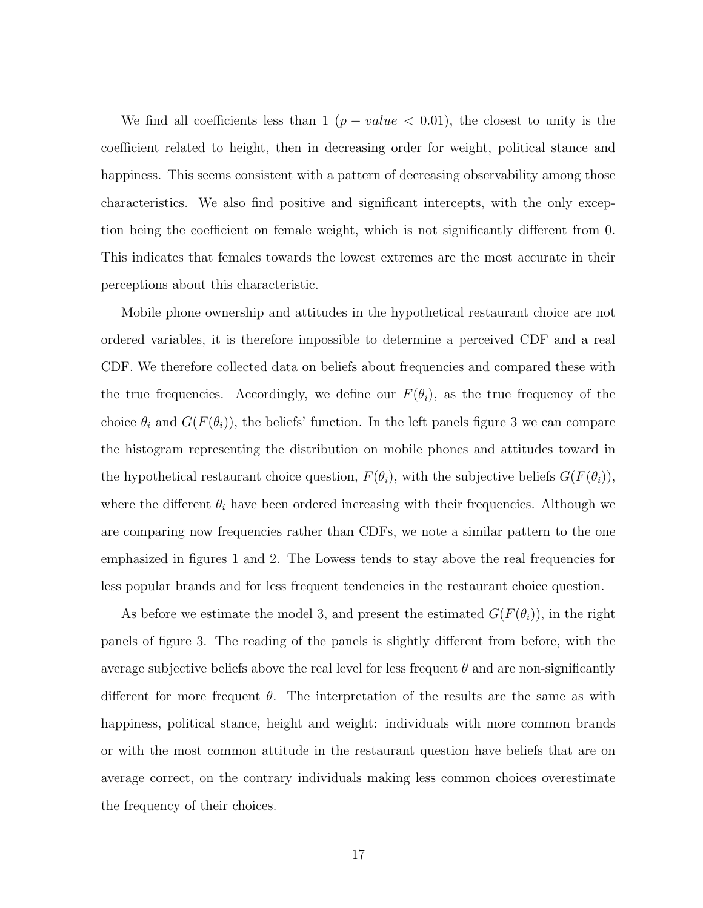We find all coefficients less than 1 ( $p-value < 0.01$ ), the closest to unity is the coefficient related to height, then in decreasing order for weight, political stance and happiness. This seems consistent with a pattern of decreasing observability among those characteristics. We also find positive and significant intercepts, with the only exception being the coefficient on female weight, which is not significantly different from 0. This indicates that females towards the lowest extremes are the most accurate in their perceptions about this characteristic.

Mobile phone ownership and attitudes in the hypothetical restaurant choice are not ordered variables, it is therefore impossible to determine a perceived CDF and a real CDF. We therefore collected data on beliefs about frequencies and compared these with the true frequencies. Accordingly, we define our  $F(\theta_i)$ , as the true frequency of the choice  $\theta_i$  and  $G(F(\theta_i))$ , the beliefs' function. In the left panels figure 3 we can compare the histogram representing the distribution on mobile phones and attitudes toward in the hypothetical restaurant choice question,  $F(\theta_i)$ , with the subjective beliefs  $G(F(\theta_i))$ , where the different  $\theta_i$  have been ordered increasing with their frequencies. Although we are comparing now frequencies rather than CDFs, we note a similar pattern to the one emphasized in figures 1 and 2. The Lowess tends to stay above the real frequencies for less popular brands and for less frequent tendencies in the restaurant choice question.

As before we estimate the model 3, and present the estimated  $G(F(\theta_i))$ , in the right panels of figure 3. The reading of the panels is slightly different from before, with the average subjective beliefs above the real level for less frequent  $\theta$  and are non-significantly different for more frequent  $\theta$ . The interpretation of the results are the same as with happiness, political stance, height and weight: individuals with more common brands or with the most common attitude in the restaurant question have beliefs that are on average correct, on the contrary individuals making less common choices overestimate the frequency of their choices.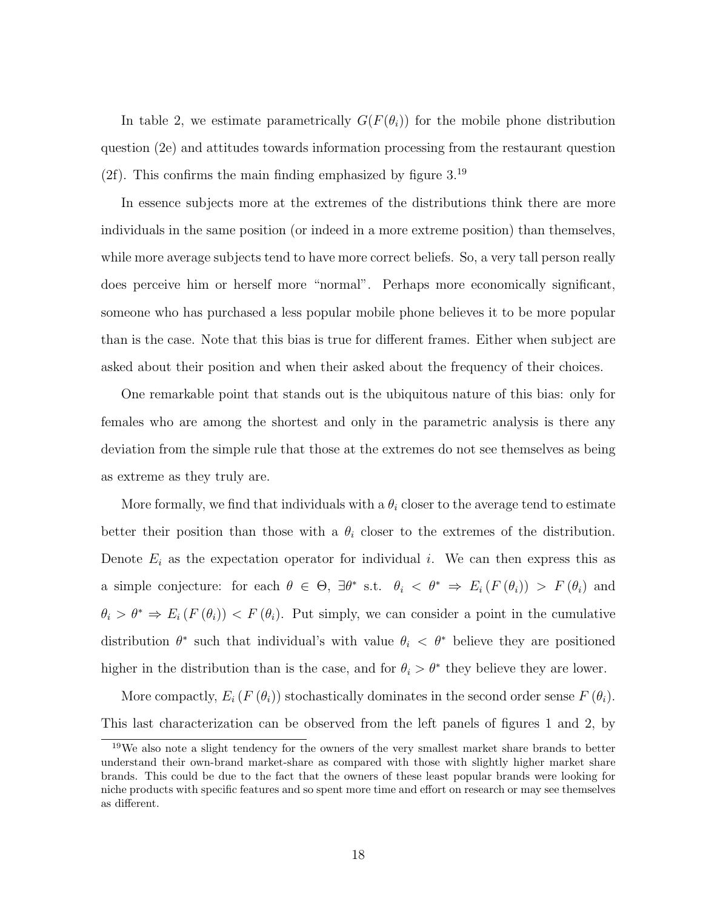In table 2, we estimate parametrically  $G(F(\theta_i))$  for the mobile phone distribution question (2e) and attitudes towards information processing from the restaurant question (2f). This confirms the main finding emphasized by figure  $3.19$ 

In essence subjects more at the extremes of the distributions think there are more individuals in the same position (or indeed in a more extreme position) than themselves, while more average subjects tend to have more correct beliefs. So, a very tall person really does perceive him or herself more "normal". Perhaps more economically significant, someone who has purchased a less popular mobile phone believes it to be more popular than is the case. Note that this bias is true for different frames. Either when subject are asked about their position and when their asked about the frequency of their choices.

One remarkable point that stands out is the ubiquitous nature of this bias: only for females who are among the shortest and only in the parametric analysis is there any deviation from the simple rule that those at the extremes do not see themselves as being as extreme as they truly are.

More formally, we find that individuals with a  $\theta_i$  closer to the average tend to estimate better their position than those with a  $\theta_i$  closer to the extremes of the distribution. Denote  $E_i$  as the expectation operator for individual i. We can then express this as a simple conjecture: for each  $\theta \in \Theta$ ,  $\exists \theta^*$  s.t.  $\theta_i < \theta^* \Rightarrow E_i(F(\theta_i)) > F(\theta_i)$  and  $\theta_i > \theta^* \Rightarrow E_i(F(\theta_i)) < F(\theta_i)$ . Put simply, we can consider a point in the cumulative distribution  $\theta^*$  such that individual's with value  $\theta_i < \theta^*$  believe they are positioned higher in the distribution than is the case, and for  $\theta_i > \theta^*$  they believe they are lower.

More compactly,  $E_i(F(\theta_i))$  stochastically dominates in the second order sense  $F(\theta_i)$ . This last characterization can be observed from the left panels of figures 1 and 2, by

<sup>&</sup>lt;sup>19</sup>We also note a slight tendency for the owners of the very smallest market share brands to better understand their own-brand market-share as compared with those with slightly higher market share brands. This could be due to the fact that the owners of these least popular brands were looking for niche products with specific features and so spent more time and effort on research or may see themselves as different.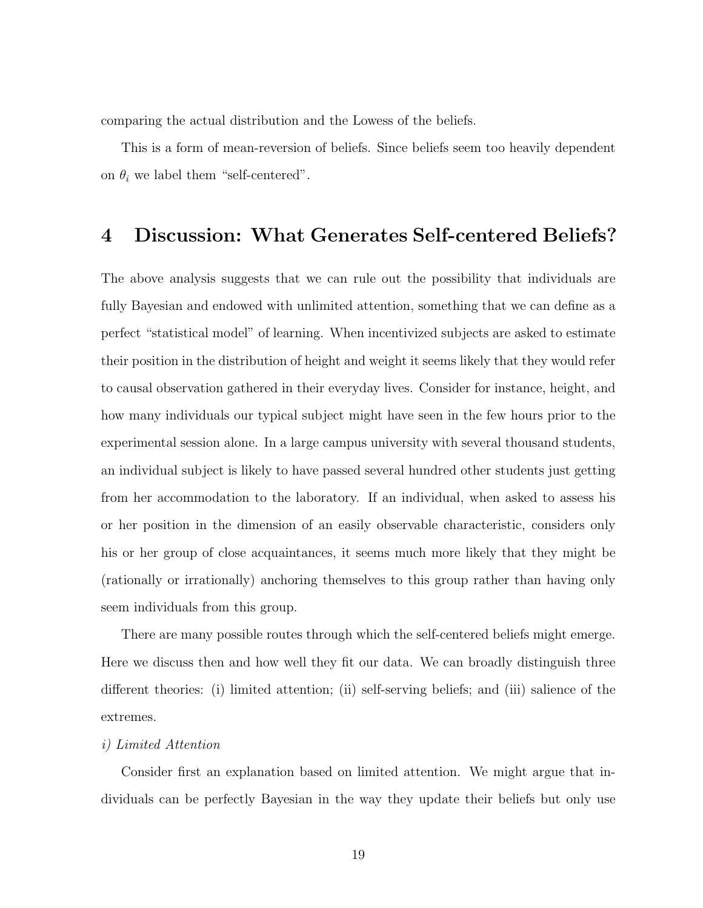comparing the actual distribution and the Lowess of the beliefs.

This is a form of mean-reversion of beliefs. Since beliefs seem too heavily dependent on  $\theta_i$  we label them "self-centered".

## 4 Discussion: What Generates Self-centered Beliefs?

The above analysis suggests that we can rule out the possibility that individuals are fully Bayesian and endowed with unlimited attention, something that we can define as a perfect "statistical model" of learning. When incentivized subjects are asked to estimate their position in the distribution of height and weight it seems likely that they would refer to causal observation gathered in their everyday lives. Consider for instance, height, and how many individuals our typical subject might have seen in the few hours prior to the experimental session alone. In a large campus university with several thousand students, an individual subject is likely to have passed several hundred other students just getting from her accommodation to the laboratory. If an individual, when asked to assess his or her position in the dimension of an easily observable characteristic, considers only his or her group of close acquaintances, it seems much more likely that they might be (rationally or irrationally) anchoring themselves to this group rather than having only seem individuals from this group.

There are many possible routes through which the self-centered beliefs might emerge. Here we discuss then and how well they fit our data. We can broadly distinguish three different theories: (i) limited attention; (ii) self-serving beliefs; and (iii) salience of the extremes.

#### i) Limited Attention

Consider first an explanation based on limited attention. We might argue that individuals can be perfectly Bayesian in the way they update their beliefs but only use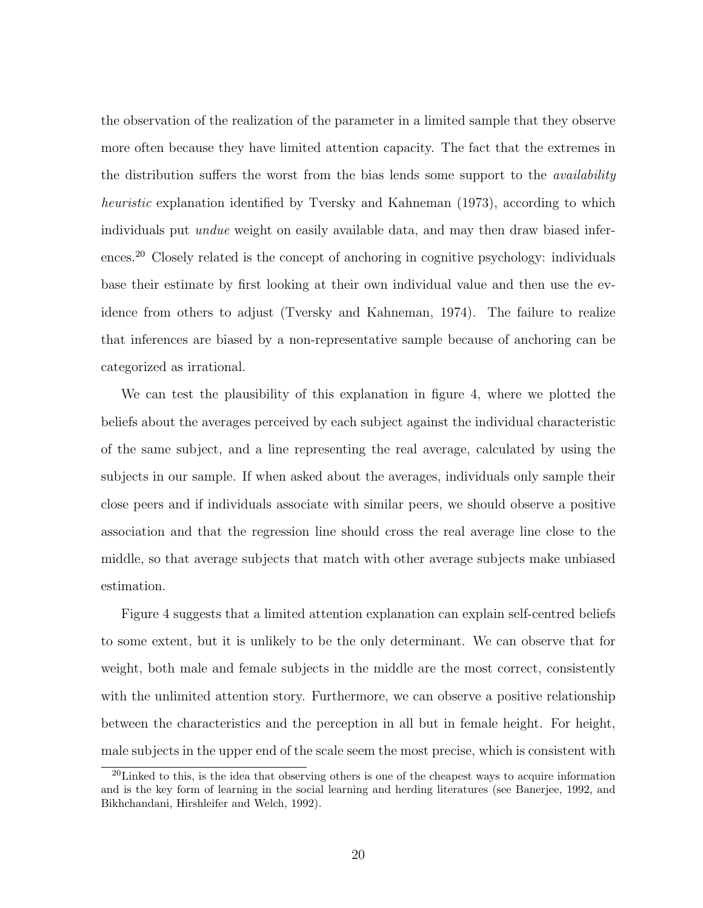the observation of the realization of the parameter in a limited sample that they observe more often because they have limited attention capacity. The fact that the extremes in the distribution suffers the worst from the bias lends some support to the *availability* heuristic explanation identified by Tversky and Kahneman (1973), according to which individuals put undue weight on easily available data, and may then draw biased inferences.<sup>20</sup> Closely related is the concept of anchoring in cognitive psychology: individuals base their estimate by first looking at their own individual value and then use the evidence from others to adjust (Tversky and Kahneman, 1974). The failure to realize that inferences are biased by a non-representative sample because of anchoring can be categorized as irrational.

We can test the plausibility of this explanation in figure 4, where we plotted the beliefs about the averages perceived by each subject against the individual characteristic of the same subject, and a line representing the real average, calculated by using the subjects in our sample. If when asked about the averages, individuals only sample their close peers and if individuals associate with similar peers, we should observe a positive association and that the regression line should cross the real average line close to the middle, so that average subjects that match with other average subjects make unbiased estimation.

Figure 4 suggests that a limited attention explanation can explain self-centred beliefs to some extent, but it is unlikely to be the only determinant. We can observe that for weight, both male and female subjects in the middle are the most correct, consistently with the unlimited attention story. Furthermore, we can observe a positive relationship between the characteristics and the perception in all but in female height. For height, male subjects in the upper end of the scale seem the most precise, which is consistent with

 $20$ Linked to this, is the idea that observing others is one of the cheapest ways to acquire information and is the key form of learning in the social learning and herding literatures (see Banerjee, 1992, and Bikhchandani, Hirshleifer and Welch, 1992).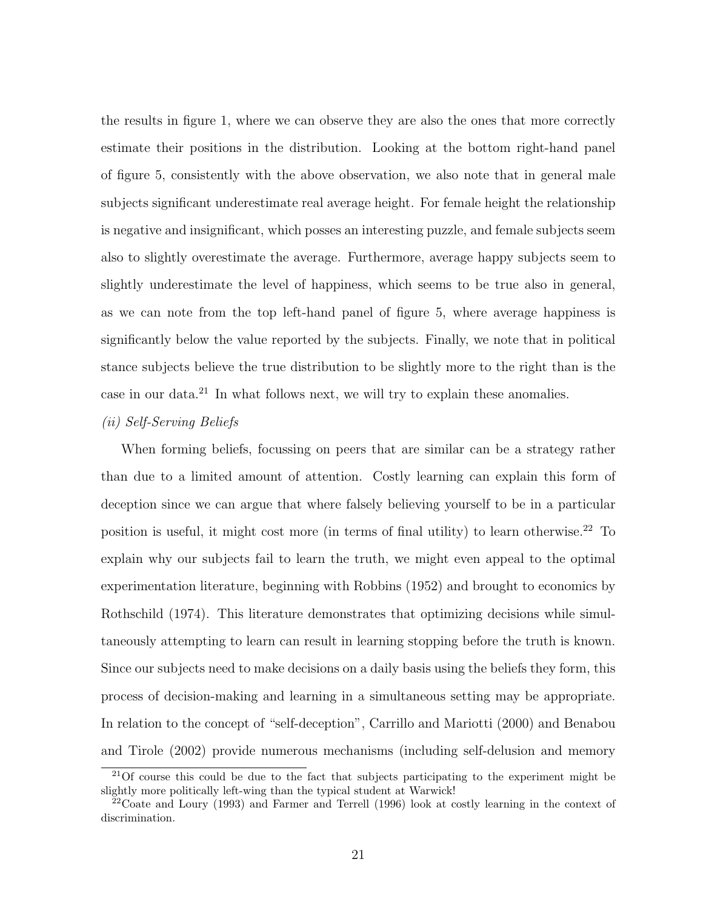the results in figure 1, where we can observe they are also the ones that more correctly estimate their positions in the distribution. Looking at the bottom right-hand panel of figure 5, consistently with the above observation, we also note that in general male subjects significant underestimate real average height. For female height the relationship is negative and insignificant, which posses an interesting puzzle, and female subjects seem also to slightly overestimate the average. Furthermore, average happy subjects seem to slightly underestimate the level of happiness, which seems to be true also in general, as we can note from the top left-hand panel of figure 5, where average happiness is significantly below the value reported by the subjects. Finally, we note that in political stance subjects believe the true distribution to be slightly more to the right than is the case in our data.<sup>21</sup> In what follows next, we will try to explain these anomalies.

#### (ii) Self-Serving Beliefs

When forming beliefs, focussing on peers that are similar can be a strategy rather than due to a limited amount of attention. Costly learning can explain this form of deception since we can argue that where falsely believing yourself to be in a particular position is useful, it might cost more (in terms of final utility) to learn otherwise.<sup>22</sup> To explain why our subjects fail to learn the truth, we might even appeal to the optimal experimentation literature, beginning with Robbins (1952) and brought to economics by Rothschild (1974). This literature demonstrates that optimizing decisions while simultaneously attempting to learn can result in learning stopping before the truth is known. Since our subjects need to make decisions on a daily basis using the beliefs they form, this process of decision-making and learning in a simultaneous setting may be appropriate. In relation to the concept of "self-deception", Carrillo and Mariotti (2000) and Benabou and Tirole (2002) provide numerous mechanisms (including self-delusion and memory

<sup>&</sup>lt;sup>21</sup>Of course this could be due to the fact that subjects participating to the experiment might be slightly more politically left-wing than the typical student at Warwick!

 $22$ Coate and Loury (1993) and Farmer and Terrell (1996) look at costly learning in the context of discrimination.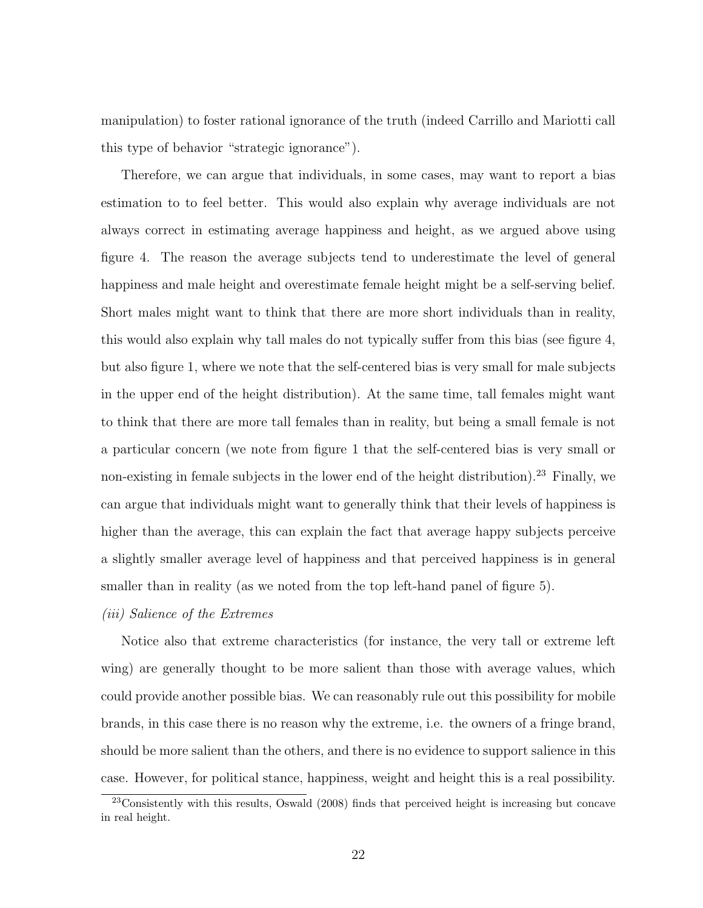manipulation) to foster rational ignorance of the truth (indeed Carrillo and Mariotti call this type of behavior "strategic ignorance").

Therefore, we can argue that individuals, in some cases, may want to report a bias estimation to to feel better. This would also explain why average individuals are not always correct in estimating average happiness and height, as we argued above using figure 4. The reason the average subjects tend to underestimate the level of general happiness and male height and overestimate female height might be a self-serving belief. Short males might want to think that there are more short individuals than in reality, this would also explain why tall males do not typically suffer from this bias (see figure 4, but also figure 1, where we note that the self-centered bias is very small for male subjects in the upper end of the height distribution). At the same time, tall females might want to think that there are more tall females than in reality, but being a small female is not a particular concern (we note from figure 1 that the self-centered bias is very small or non-existing in female subjects in the lower end of the height distribution).<sup>23</sup> Finally, we can argue that individuals might want to generally think that their levels of happiness is higher than the average, this can explain the fact that average happy subjects perceive a slightly smaller average level of happiness and that perceived happiness is in general smaller than in reality (as we noted from the top left-hand panel of figure 5).

#### (iii) Salience of the Extremes

Notice also that extreme characteristics (for instance, the very tall or extreme left wing) are generally thought to be more salient than those with average values, which could provide another possible bias. We can reasonably rule out this possibility for mobile brands, in this case there is no reason why the extreme, i.e. the owners of a fringe brand, should be more salient than the others, and there is no evidence to support salience in this case. However, for political stance, happiness, weight and height this is a real possibility.

<sup>23</sup>Consistently with this results, Oswald (2008) finds that perceived height is increasing but concave in real height.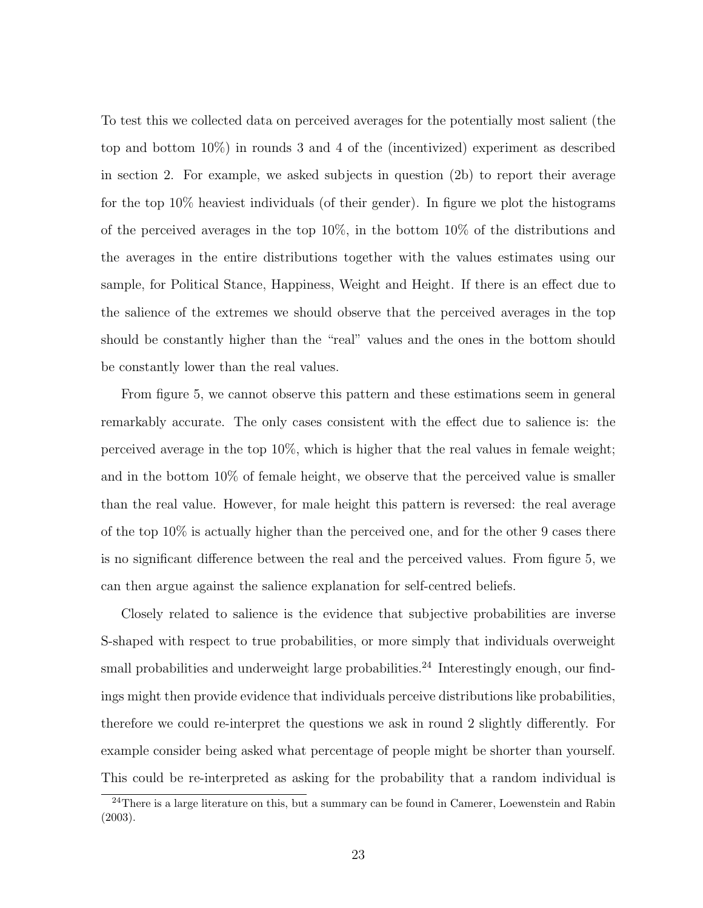To test this we collected data on perceived averages for the potentially most salient (the top and bottom 10%) in rounds 3 and 4 of the (incentivized) experiment as described in section 2. For example, we asked subjects in question (2b) to report their average for the top 10% heaviest individuals (of their gender). In figure we plot the histograms of the perceived averages in the top 10%, in the bottom 10% of the distributions and the averages in the entire distributions together with the values estimates using our sample, for Political Stance, Happiness, Weight and Height. If there is an effect due to the salience of the extremes we should observe that the perceived averages in the top should be constantly higher than the "real" values and the ones in the bottom should be constantly lower than the real values.

From figure 5, we cannot observe this pattern and these estimations seem in general remarkably accurate. The only cases consistent with the effect due to salience is: the perceived average in the top 10%, which is higher that the real values in female weight; and in the bottom 10% of female height, we observe that the perceived value is smaller than the real value. However, for male height this pattern is reversed: the real average of the top 10% is actually higher than the perceived one, and for the other 9 cases there is no significant difference between the real and the perceived values. From figure 5, we can then argue against the salience explanation for self-centred beliefs.

Closely related to salience is the evidence that subjective probabilities are inverse S-shaped with respect to true probabilities, or more simply that individuals overweight small probabilities and underweight large probabilities.<sup>24</sup> Interestingly enough, our findings might then provide evidence that individuals perceive distributions like probabilities, therefore we could re-interpret the questions we ask in round 2 slightly differently. For example consider being asked what percentage of people might be shorter than yourself. This could be re-interpreted as asking for the probability that a random individual is

<sup>&</sup>lt;sup>24</sup>There is a large literature on this, but a summary can be found in Camerer, Loewenstein and Rabin (2003).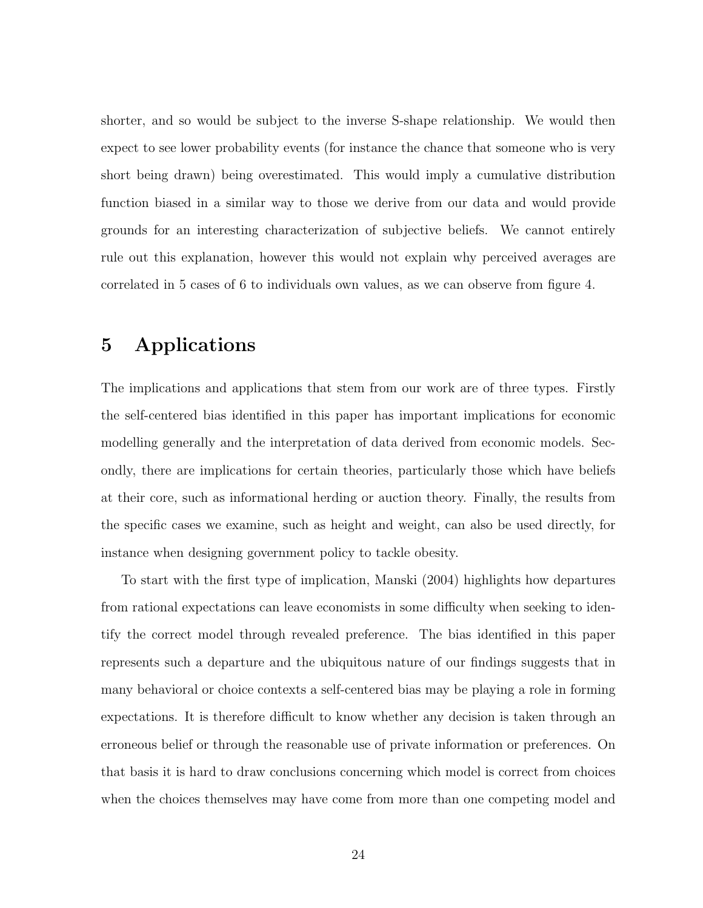shorter, and so would be subject to the inverse S-shape relationship. We would then expect to see lower probability events (for instance the chance that someone who is very short being drawn) being overestimated. This would imply a cumulative distribution function biased in a similar way to those we derive from our data and would provide grounds for an interesting characterization of subjective beliefs. We cannot entirely rule out this explanation, however this would not explain why perceived averages are correlated in 5 cases of 6 to individuals own values, as we can observe from figure 4.

# 5 Applications

The implications and applications that stem from our work are of three types. Firstly the self-centered bias identified in this paper has important implications for economic modelling generally and the interpretation of data derived from economic models. Secondly, there are implications for certain theories, particularly those which have beliefs at their core, such as informational herding or auction theory. Finally, the results from the specific cases we examine, such as height and weight, can also be used directly, for instance when designing government policy to tackle obesity.

To start with the first type of implication, Manski (2004) highlights how departures from rational expectations can leave economists in some difficulty when seeking to identify the correct model through revealed preference. The bias identified in this paper represents such a departure and the ubiquitous nature of our findings suggests that in many behavioral or choice contexts a self-centered bias may be playing a role in forming expectations. It is therefore difficult to know whether any decision is taken through an erroneous belief or through the reasonable use of private information or preferences. On that basis it is hard to draw conclusions concerning which model is correct from choices when the choices themselves may have come from more than one competing model and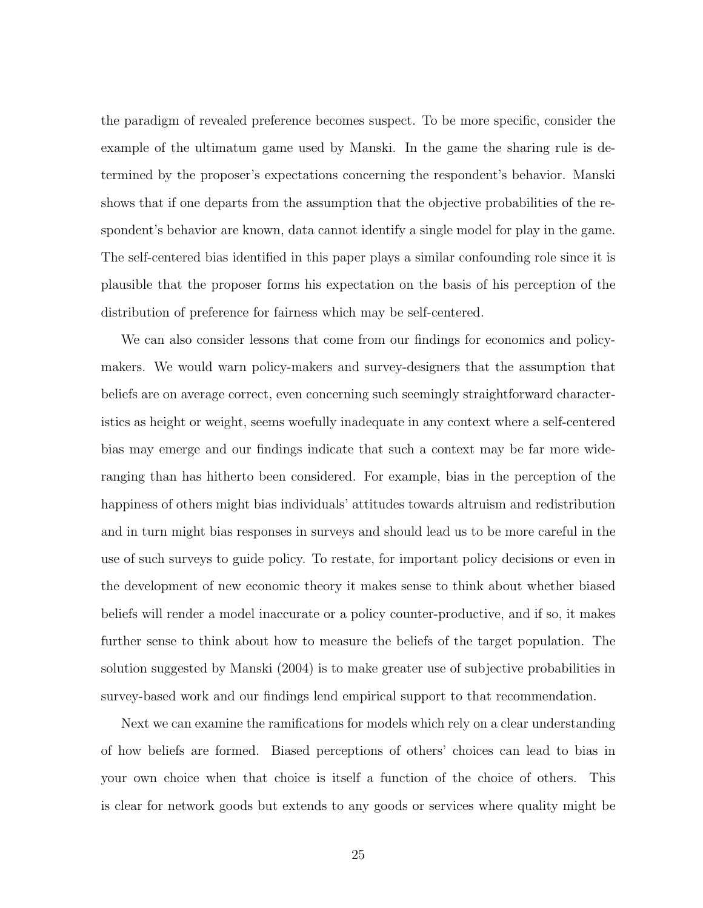the paradigm of revealed preference becomes suspect. To be more specific, consider the example of the ultimatum game used by Manski. In the game the sharing rule is determined by the proposer's expectations concerning the respondent's behavior. Manski shows that if one departs from the assumption that the objective probabilities of the respondent's behavior are known, data cannot identify a single model for play in the game. The self-centered bias identified in this paper plays a similar confounding role since it is plausible that the proposer forms his expectation on the basis of his perception of the distribution of preference for fairness which may be self-centered.

We can also consider lessons that come from our findings for economics and policymakers. We would warn policy-makers and survey-designers that the assumption that beliefs are on average correct, even concerning such seemingly straightforward characteristics as height or weight, seems woefully inadequate in any context where a self-centered bias may emerge and our findings indicate that such a context may be far more wideranging than has hitherto been considered. For example, bias in the perception of the happiness of others might bias individuals' attitudes towards altruism and redistribution and in turn might bias responses in surveys and should lead us to be more careful in the use of such surveys to guide policy. To restate, for important policy decisions or even in the development of new economic theory it makes sense to think about whether biased beliefs will render a model inaccurate or a policy counter-productive, and if so, it makes further sense to think about how to measure the beliefs of the target population. The solution suggested by Manski (2004) is to make greater use of subjective probabilities in survey-based work and our findings lend empirical support to that recommendation.

Next we can examine the ramifications for models which rely on a clear understanding of how beliefs are formed. Biased perceptions of others' choices can lead to bias in your own choice when that choice is itself a function of the choice of others. This is clear for network goods but extends to any goods or services where quality might be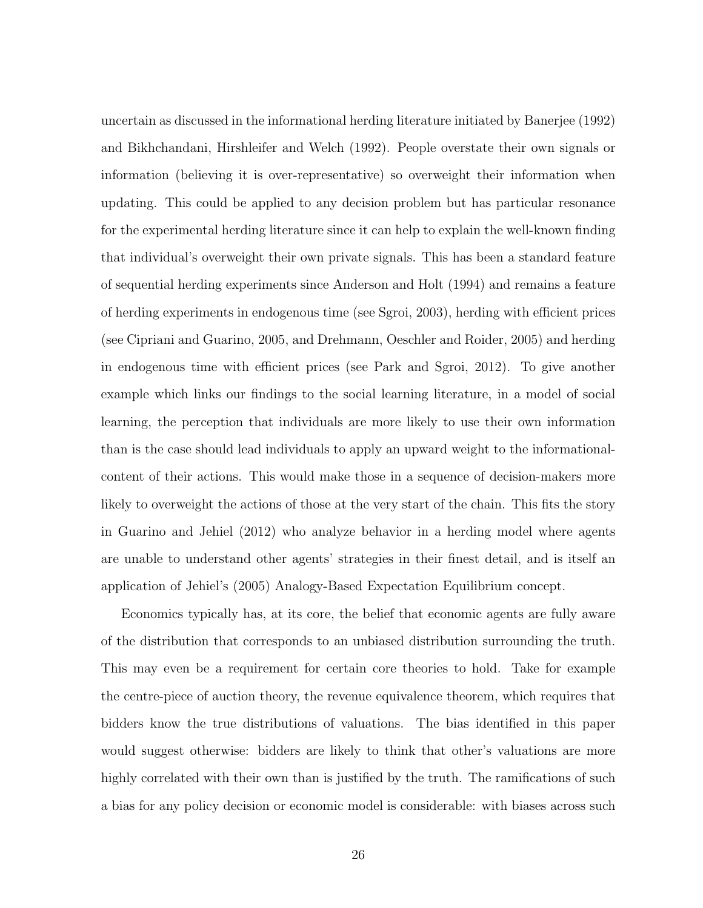uncertain as discussed in the informational herding literature initiated by Banerjee (1992) and Bikhchandani, Hirshleifer and Welch (1992). People overstate their own signals or information (believing it is over-representative) so overweight their information when updating. This could be applied to any decision problem but has particular resonance for the experimental herding literature since it can help to explain the well-known finding that individual's overweight their own private signals. This has been a standard feature of sequential herding experiments since Anderson and Holt (1994) and remains a feature of herding experiments in endogenous time (see Sgroi, 2003), herding with efficient prices (see Cipriani and Guarino, 2005, and Drehmann, Oeschler and Roider, 2005) and herding in endogenous time with efficient prices (see Park and Sgroi, 2012). To give another example which links our findings to the social learning literature, in a model of social learning, the perception that individuals are more likely to use their own information than is the case should lead individuals to apply an upward weight to the informationalcontent of their actions. This would make those in a sequence of decision-makers more likely to overweight the actions of those at the very start of the chain. This fits the story in Guarino and Jehiel (2012) who analyze behavior in a herding model where agents are unable to understand other agents' strategies in their finest detail, and is itself an application of Jehiel's (2005) Analogy-Based Expectation Equilibrium concept.

Economics typically has, at its core, the belief that economic agents are fully aware of the distribution that corresponds to an unbiased distribution surrounding the truth. This may even be a requirement for certain core theories to hold. Take for example the centre-piece of auction theory, the revenue equivalence theorem, which requires that bidders know the true distributions of valuations. The bias identified in this paper would suggest otherwise: bidders are likely to think that other's valuations are more highly correlated with their own than is justified by the truth. The ramifications of such a bias for any policy decision or economic model is considerable: with biases across such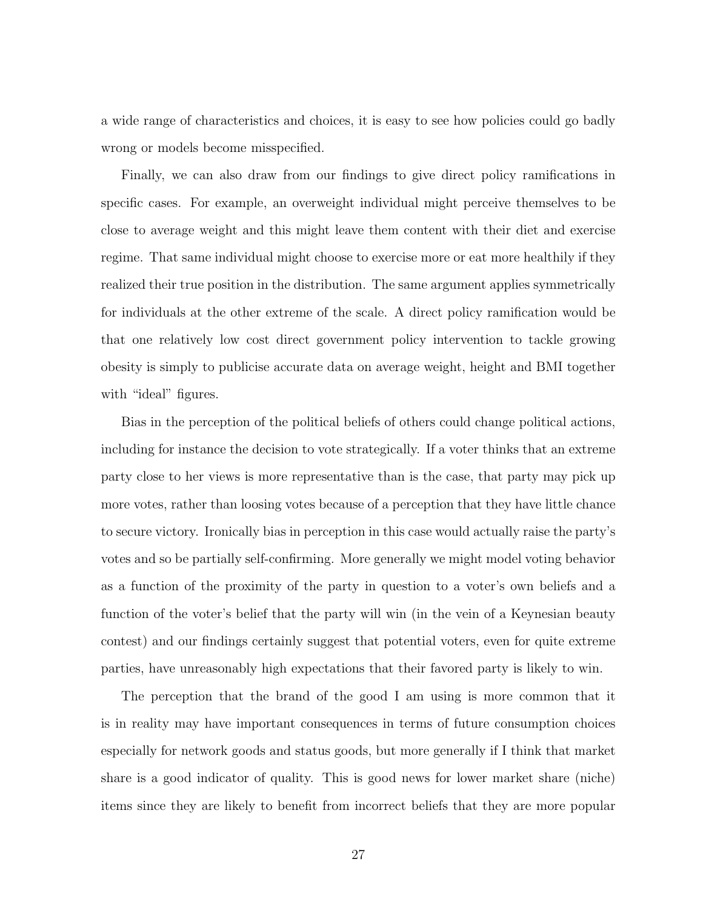a wide range of characteristics and choices, it is easy to see how policies could go badly wrong or models become misspecified.

Finally, we can also draw from our findings to give direct policy ramifications in specific cases. For example, an overweight individual might perceive themselves to be close to average weight and this might leave them content with their diet and exercise regime. That same individual might choose to exercise more or eat more healthily if they realized their true position in the distribution. The same argument applies symmetrically for individuals at the other extreme of the scale. A direct policy ramification would be that one relatively low cost direct government policy intervention to tackle growing obesity is simply to publicise accurate data on average weight, height and BMI together with "ideal" figures.

Bias in the perception of the political beliefs of others could change political actions, including for instance the decision to vote strategically. If a voter thinks that an extreme party close to her views is more representative than is the case, that party may pick up more votes, rather than loosing votes because of a perception that they have little chance to secure victory. Ironically bias in perception in this case would actually raise the party's votes and so be partially self-confirming. More generally we might model voting behavior as a function of the proximity of the party in question to a voter's own beliefs and a function of the voter's belief that the party will win (in the vein of a Keynesian beauty contest) and our findings certainly suggest that potential voters, even for quite extreme parties, have unreasonably high expectations that their favored party is likely to win.

The perception that the brand of the good I am using is more common that it is in reality may have important consequences in terms of future consumption choices especially for network goods and status goods, but more generally if I think that market share is a good indicator of quality. This is good news for lower market share (niche) items since they are likely to benefit from incorrect beliefs that they are more popular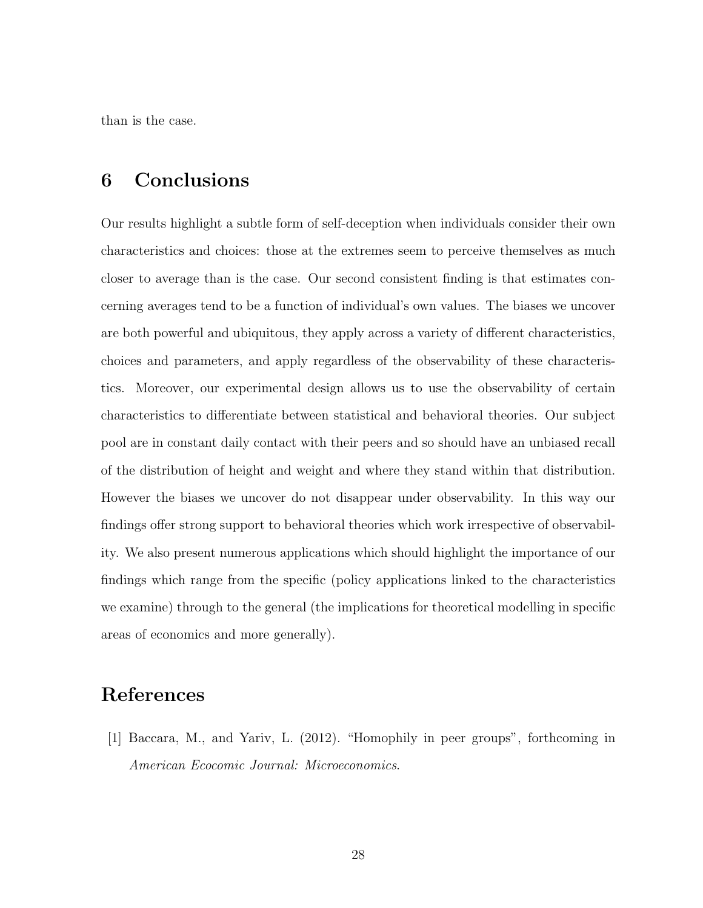than is the case.

# 6 Conclusions

Our results highlight a subtle form of self-deception when individuals consider their own characteristics and choices: those at the extremes seem to perceive themselves as much closer to average than is the case. Our second consistent finding is that estimates concerning averages tend to be a function of individual's own values. The biases we uncover are both powerful and ubiquitous, they apply across a variety of different characteristics, choices and parameters, and apply regardless of the observability of these characteristics. Moreover, our experimental design allows us to use the observability of certain characteristics to differentiate between statistical and behavioral theories. Our subject pool are in constant daily contact with their peers and so should have an unbiased recall of the distribution of height and weight and where they stand within that distribution. However the biases we uncover do not disappear under observability. In this way our findings offer strong support to behavioral theories which work irrespective of observability. We also present numerous applications which should highlight the importance of our findings which range from the specific (policy applications linked to the characteristics we examine) through to the general (the implications for theoretical modelling in specific areas of economics and more generally).

# References

[1] Baccara, M., and Yariv, L. (2012). "Homophily in peer groups", forthcoming in American Ecocomic Journal: Microeconomics.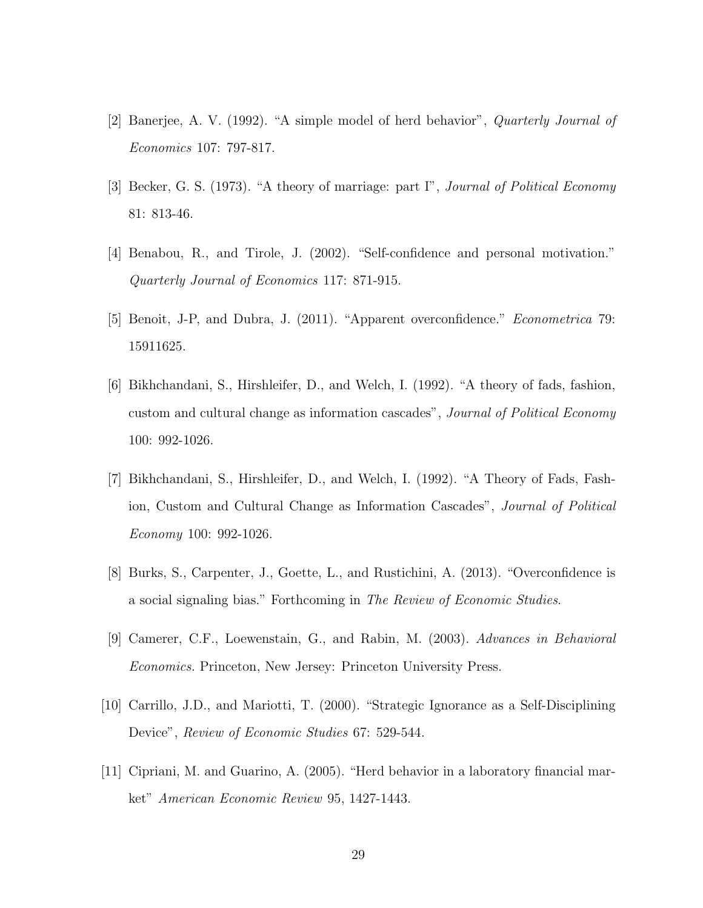- [2] Banerjee, A. V. (1992). "A simple model of herd behavior", Quarterly Journal of Economics 107: 797-817.
- [3] Becker, G. S. (1973). "A theory of marriage: part I", Journal of Political Economy 81: 813-46.
- [4] Benabou, R., and Tirole, J. (2002). "Self-confidence and personal motivation." Quarterly Journal of Economics 117: 871-915.
- [5] Benoit, J-P, and Dubra, J. (2011). "Apparent overconfidence." Econometrica 79: 15911625.
- [6] Bikhchandani, S., Hirshleifer, D., and Welch, I. (1992). "A theory of fads, fashion, custom and cultural change as information cascades", Journal of Political Economy 100: 992-1026.
- [7] Bikhchandani, S., Hirshleifer, D., and Welch, I. (1992). "A Theory of Fads, Fashion, Custom and Cultural Change as Information Cascades", Journal of Political Economy 100: 992-1026.
- [8] Burks, S., Carpenter, J., Goette, L., and Rustichini, A. (2013). "Overconfidence is a social signaling bias." Forthcoming in The Review of Economic Studies.
- [9] Camerer, C.F., Loewenstain, G., and Rabin, M. (2003). Advances in Behavioral Economics. Princeton, New Jersey: Princeton University Press.
- [10] Carrillo, J.D., and Mariotti, T. (2000). "Strategic Ignorance as a Self-Disciplining Device", Review of Economic Studies 67: 529-544.
- [11] Cipriani, M. and Guarino, A. (2005). "Herd behavior in a laboratory financial market" American Economic Review 95, 1427-1443.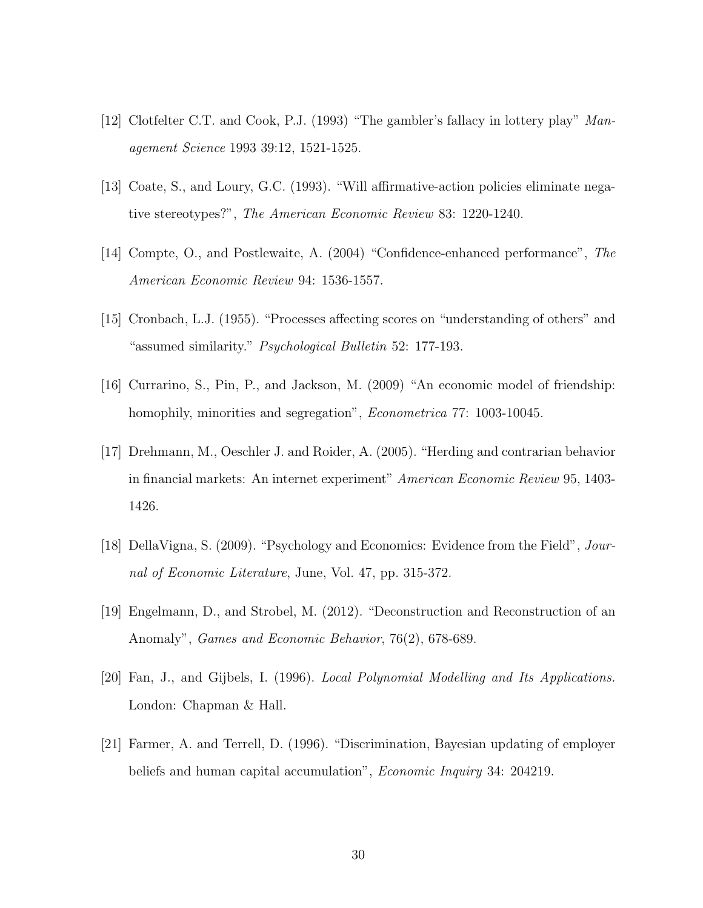- [12] Clotfelter C.T. and Cook, P.J. (1993) "The gambler's fallacy in lottery play" Management Science 1993 39:12, 1521-1525.
- [13] Coate, S., and Loury, G.C. (1993). "Will affirmative-action policies eliminate negative stereotypes?", The American Economic Review 83: 1220-1240.
- [14] Compte, O., and Postlewaite, A. (2004) "Confidence-enhanced performance", The American Economic Review 94: 1536-1557.
- [15] Cronbach, L.J. (1955). "Processes affecting scores on "understanding of others" and "assumed similarity." Psychological Bulletin 52: 177-193.
- [16] Currarino, S., Pin, P., and Jackson, M. (2009) "An economic model of friendship: homophily, minorities and segregation", *Econometrica* 77: 1003-10045.
- [17] Drehmann, M., Oeschler J. and Roider, A. (2005). "Herding and contrarian behavior in financial markets: An internet experiment" American Economic Review 95, 1403- 1426.
- [18] DellaVigna, S. (2009). "Psychology and Economics: Evidence from the Field", Journal of Economic Literature, June, Vol. 47, pp. 315-372.
- [19] Engelmann, D., and Strobel, M. (2012). "Deconstruction and Reconstruction of an Anomaly", Games and Economic Behavior, 76(2), 678-689.
- [20] Fan, J., and Gijbels, I. (1996). Local Polynomial Modelling and Its Applications. London: Chapman & Hall.
- [21] Farmer, A. and Terrell, D. (1996). "Discrimination, Bayesian updating of employer beliefs and human capital accumulation", *Economic Inquiry* 34: 204219.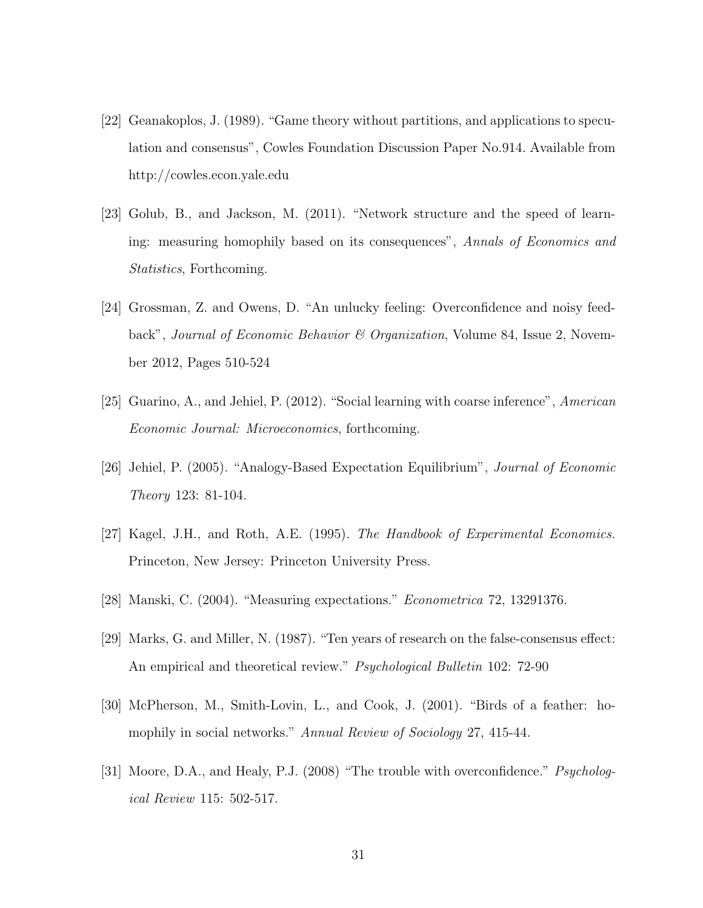- [22] Geanakoplos, J. (1989). "Game theory without partitions, and applications to speculation and consensus", Cowles Foundation Discussion Paper No.914. Available from http://cowles.econ.yale.edu
- [23] Golub, B., and Jackson, M. (2011). "Network structure and the speed of learning: measuring homophily based on its consequences", Annals of Economics and Statistics, Forthcoming.
- [24] Grossman, Z. and Owens, D. "An unlucky feeling: Overconfidence and noisy feedback", Journal of Economic Behavior & Organization, Volume 84, Issue 2, November 2012, Pages 510-524
- [25] Guarino, A., and Jehiel, P. (2012). "Social learning with coarse inference", American Economic Journal: Microeconomics, forthcoming.
- [26] Jehiel, P. (2005). "Analogy-Based Expectation Equilibrium", Journal of Economic Theory 123: 81-104.
- [27] Kagel, J.H., and Roth, A.E. (1995). The Handbook of Experimental Economics. Princeton, New Jersey: Princeton University Press.
- [28] Manski, C. (2004). "Measuring expectations." Econometrica 72, 13291376.
- [29] Marks, G. and Miller, N. (1987). "Ten years of research on the false-consensus effect: An empirical and theoretical review." *Psychological Bulletin* 102: 72-90
- [30] McPherson, M., Smith-Lovin, L., and Cook, J. (2001). "Birds of a feather: homophily in social networks." Annual Review of Sociology 27, 415-44.
- [31] Moore, D.A., and Healy, P.J. (2008) "The trouble with overconfidence." *Psycholog*ical Review 115: 502-517.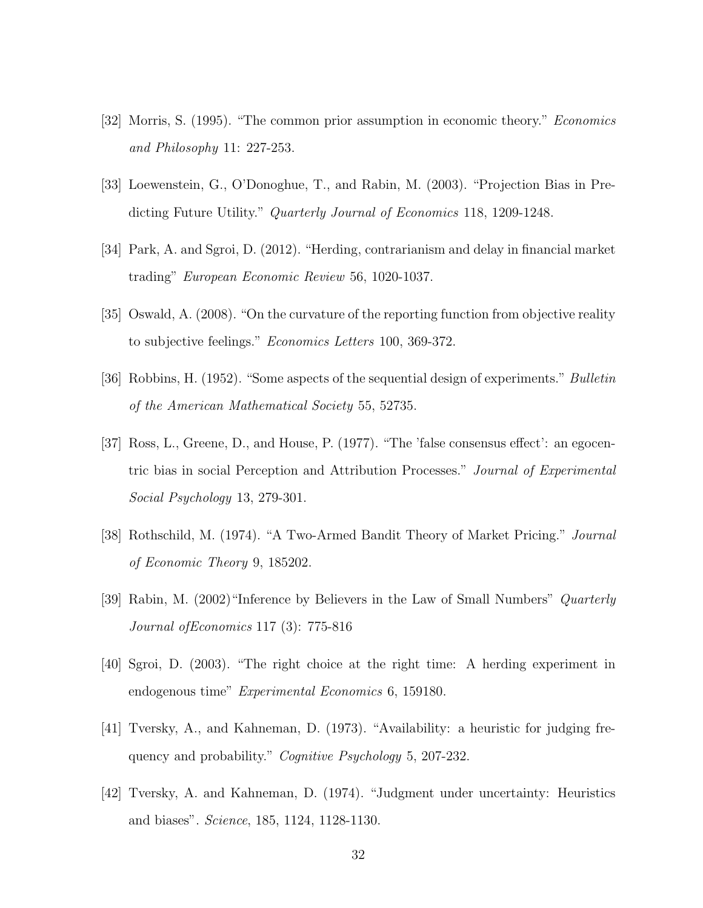- [32] Morris, S. (1995). "The common prior assumption in economic theory." Economics and Philosophy 11: 227-253.
- [33] Loewenstein, G., O'Donoghue, T., and Rabin, M. (2003). "Projection Bias in Predicting Future Utility." *Quarterly Journal of Economics* 118, 1209-1248.
- [34] Park, A. and Sgroi, D. (2012). "Herding, contrarianism and delay in financial market trading" European Economic Review 56, 1020-1037.
- [35] Oswald, A. (2008). "On the curvature of the reporting function from objective reality to subjective feelings." Economics Letters 100, 369-372.
- [36] Robbins, H. (1952). "Some aspects of the sequential design of experiments." Bulletin of the American Mathematical Society 55, 52735.
- [37] Ross, L., Greene, D., and House, P. (1977). "The 'false consensus effect': an egocentric bias in social Perception and Attribution Processes." Journal of Experimental Social Psychology 13, 279-301.
- [38] Rothschild, M. (1974). "A Two-Armed Bandit Theory of Market Pricing." Journal of Economic Theory 9, 185202.
- [39] Rabin, M. (2002)"Inference by Believers in the Law of Small Numbers" Quarterly Journal ofEconomics 117 (3): 775-816
- [40] Sgroi, D. (2003). "The right choice at the right time: A herding experiment in endogenous time" Experimental Economics 6, 159180.
- [41] Tversky, A., and Kahneman, D. (1973). "Availability: a heuristic for judging frequency and probability." Cognitive Psychology 5, 207-232.
- [42] Tversky, A. and Kahneman, D. (1974). "Judgment under uncertainty: Heuristics and biases". Science, 185, 1124, 1128-1130.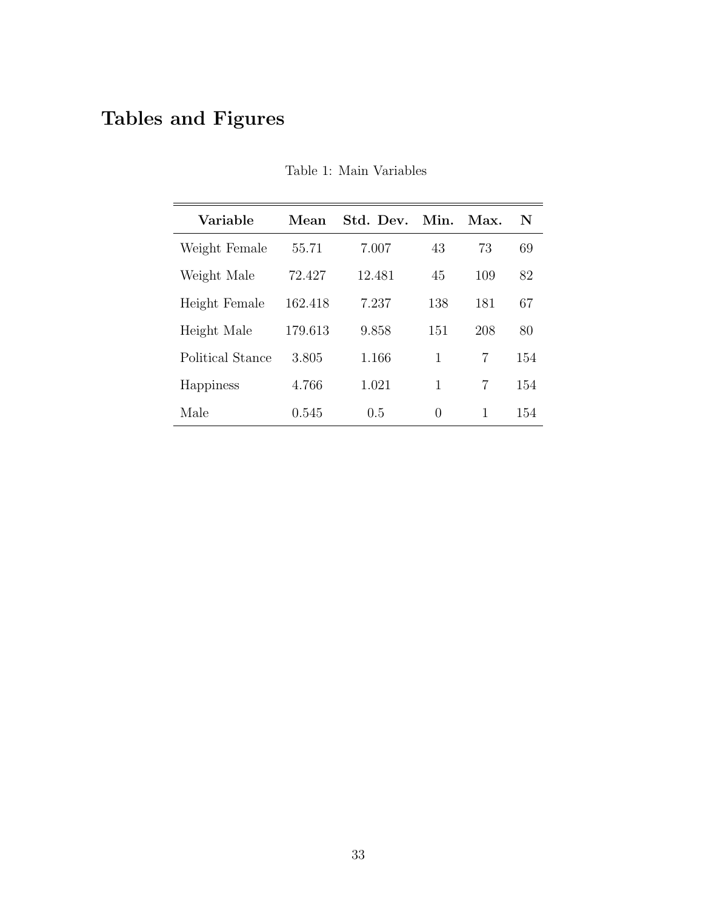# Tables and Figures

| Variable         | Mean    | Std. Dev. | Min. | Max. | N   |
|------------------|---------|-----------|------|------|-----|
| Weight Female    | 55.71   | 7.007     | 43   | 73   | 69  |
| Weight Male      | 72.427  | 12.481    | 45   | 109  | 82  |
| Height Female    | 162.418 | 7.237     | 138  | 181  | 67  |
| Height Male      | 179.613 | 9.858     | 151  | 208  | 80  |
| Political Stance | 3.805   | 1.166     | 1    | 7    | 154 |
| Happiness        | 4.766   | 1.021     | 1    | 7    | 154 |
| Male             | 0.545   | 0.5       | 0    | 1    | 154 |

Table 1: Main Variables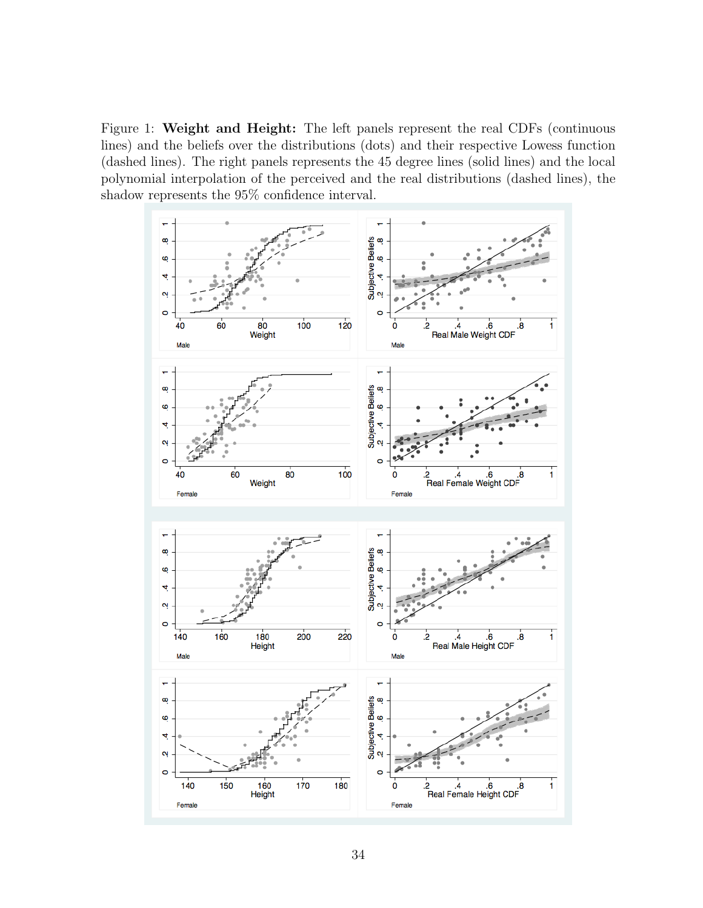Figure 1: Weight and Height: The left panels represent the real CDFs (continuous lines) and the beliefs over the distributions (dots) and their respective Lowess function (dashed lines). The right panels represents the 45 degree lines (solid lines) and the local polynomial interpolation of the perceived and the real distributions (dashed lines), the shadow represents the 95% confidence interval.

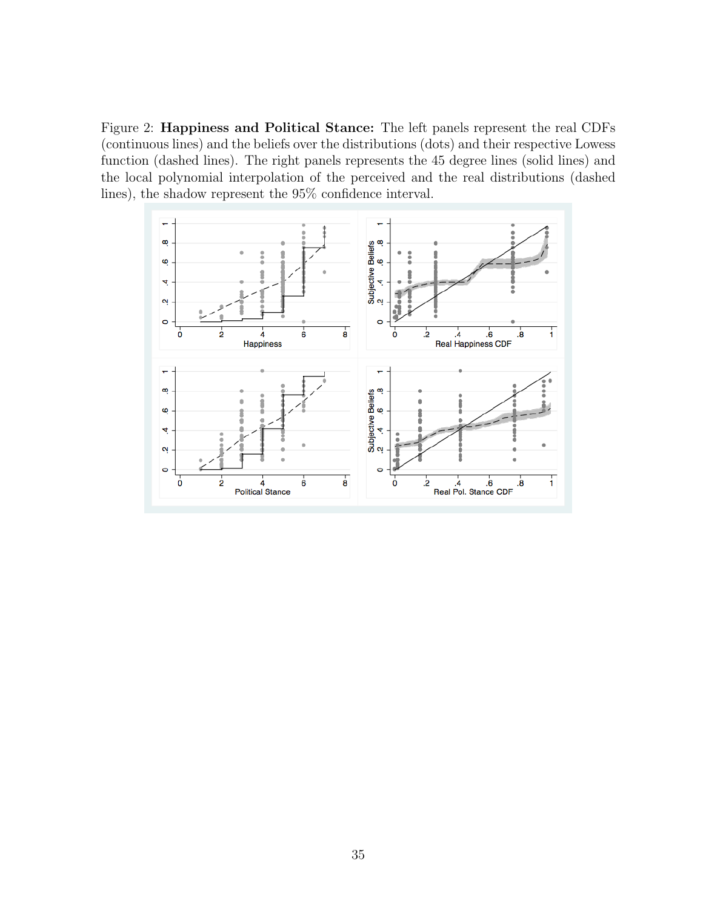Figure 2: Happiness and Political Stance: The left panels represent the real CDFs (continuous lines) and the beliefs over the distributions (dots) and their respective Lowess function (dashed lines). The right panels represents the 45 degree lines (solid lines) and the local polynomial interpolation of the perceived and the real distributions (dashed lines), the shadow represent the 95% confidence interval.

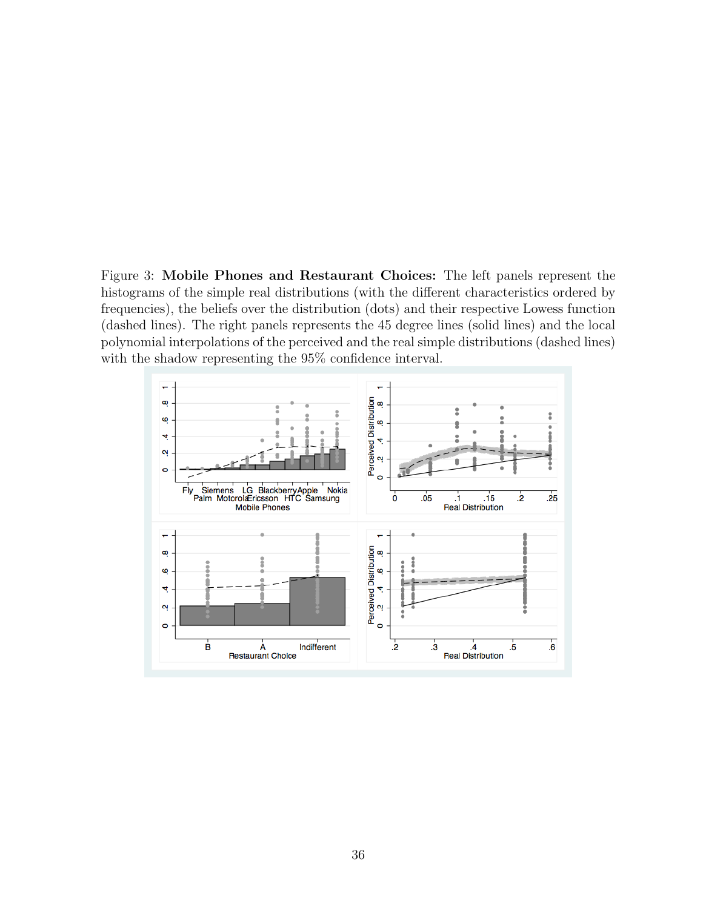Figure 3: Mobile Phones and Restaurant Choices: The left panels represent the histograms of the simple real distributions (with the different characteristics ordered by frequencies), the beliefs over the distribution (dots) and their respective Lowess function (dashed lines). The right panels represents the 45 degree lines (solid lines) and the local polynomial interpolations of the perceived and the real simple distributions (dashed lines) with the shadow representing the 95% confidence interval.

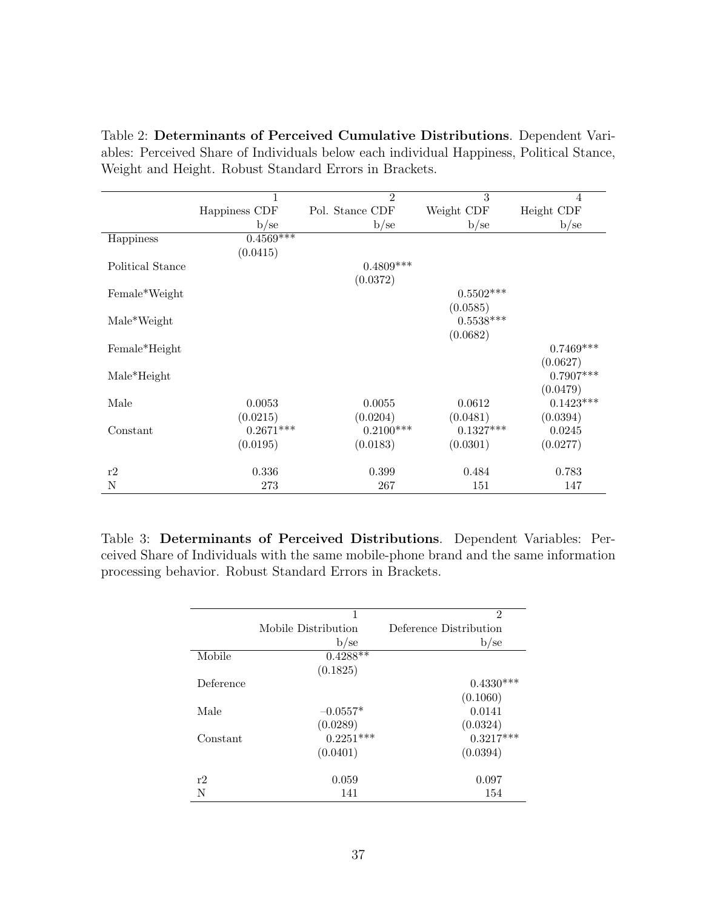Table 2: Determinants of Perceived Cumulative Distributions. Dependent Variables: Perceived Share of Individuals below each individual Happiness, Political Stance, Weight and Height. Robust Standard Errors in Brackets.

|                  | 1             | $\mathfrak{D}$  | 3           | $\overline{4}$ |
|------------------|---------------|-----------------|-------------|----------------|
|                  | Happiness CDF | Pol. Stance CDF | Weight CDF  | Height CDF     |
|                  | b/se          | b/se            | b/se        | b/se           |
| Happiness        | $0.4569***$   |                 |             |                |
|                  | (0.0415)      |                 |             |                |
| Political Stance |               | $0.4809***$     |             |                |
|                  |               | (0.0372)        |             |                |
| Female*Weight    |               |                 | $0.5502***$ |                |
|                  |               |                 | (0.0585)    |                |
| Male*Weight      |               |                 | $0.5538***$ |                |
|                  |               |                 | (0.0682)    |                |
| Female*Height    |               |                 |             | $0.7469***$    |
|                  |               |                 |             | (0.0627)       |
| $Male*Height$    |               |                 |             | $0.7907***$    |
|                  |               |                 |             | (0.0479)       |
| Male             | 0.0053        | 0.0055          | 0.0612      | $0.1423***$    |
|                  | (0.0215)      | (0.0204)        | (0.0481)    | (0.0394)       |
| Constant         | $0.2671***$   | $0.2100***$     | $0.1327***$ | 0.0245         |
|                  | (0.0195)      | (0.0183)        | (0.0301)    | (0.0277)       |
|                  |               |                 |             |                |
| r2               | 0.336         | 0.399           | 0.484       | 0.783          |
| N                | 273           | 267             | 151         | 147            |

Table 3: Determinants of Perceived Distributions. Dependent Variables: Perceived Share of Individuals with the same mobile-phone brand and the same information processing behavior. Robust Standard Errors in Brackets.

|           | 1                   | $\overline{2}$         |
|-----------|---------------------|------------------------|
|           | Mobile Distribution | Deference Distribution |
|           | $b$ /se             | $b$ /se                |
| Mobile    | $0.4288**$          |                        |
|           | (0.1825)            |                        |
| Deference |                     | $0.4330***$            |
|           |                     | (0.1060)               |
| Male      | $-0.0557*$          | 0.0141                 |
|           | (0.0289)            | (0.0324)               |
| Constant  | $0.2251***$         | $0.3217***$            |
|           | (0.0401)            | (0.0394)               |
|           |                     |                        |
| r2        | 0.059               | 0.097                  |
| N         | 141                 | 154                    |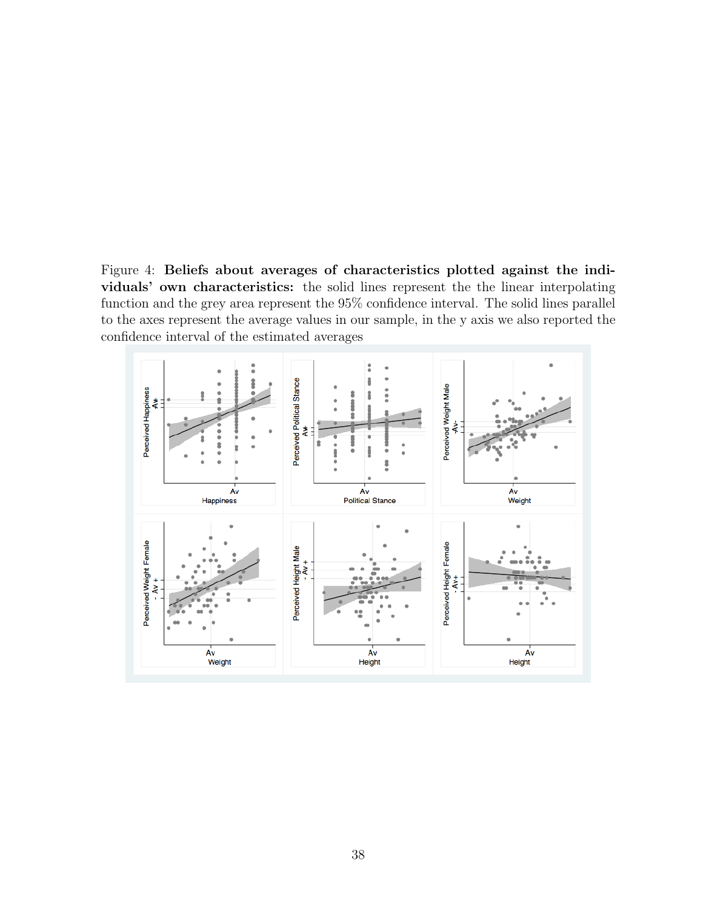Figure 4: Beliefs about averages of characteristics plotted against the individuals' own characteristics: the solid lines represent the the linear interpolating function and the grey area represent the 95% confidence interval. The solid lines parallel to the axes represent the average values in our sample, in the y axis we also reported the confidence interval of the estimated averages

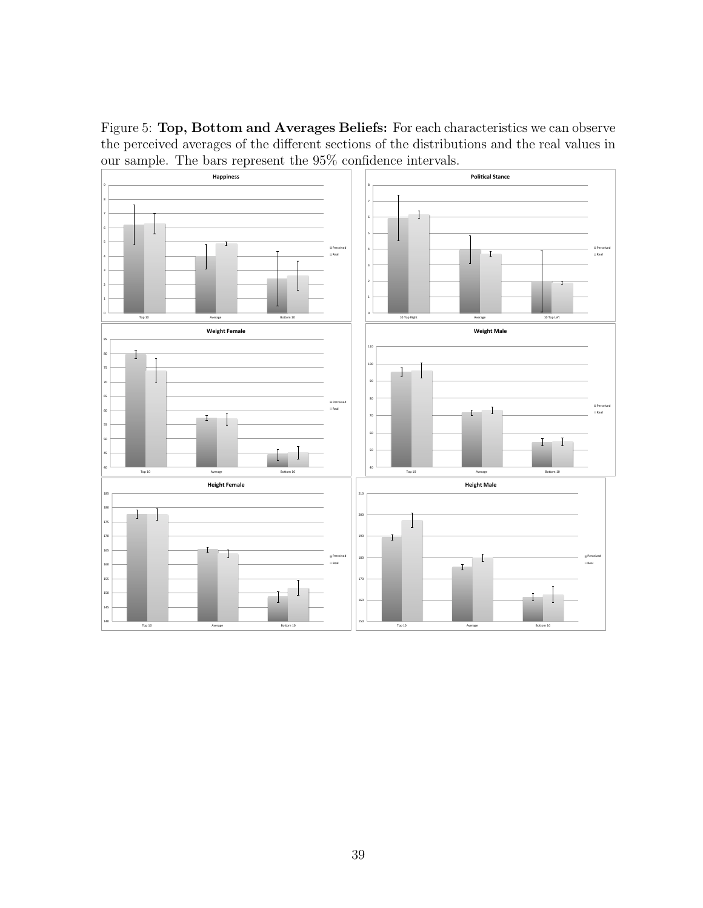Figure 5: Top, Bottom and Averages Beliefs: For each characteristics we can observe the perceived averages of the different sections of the distributions and the real values in our sample. The bars represent the 95% confidence intervals.

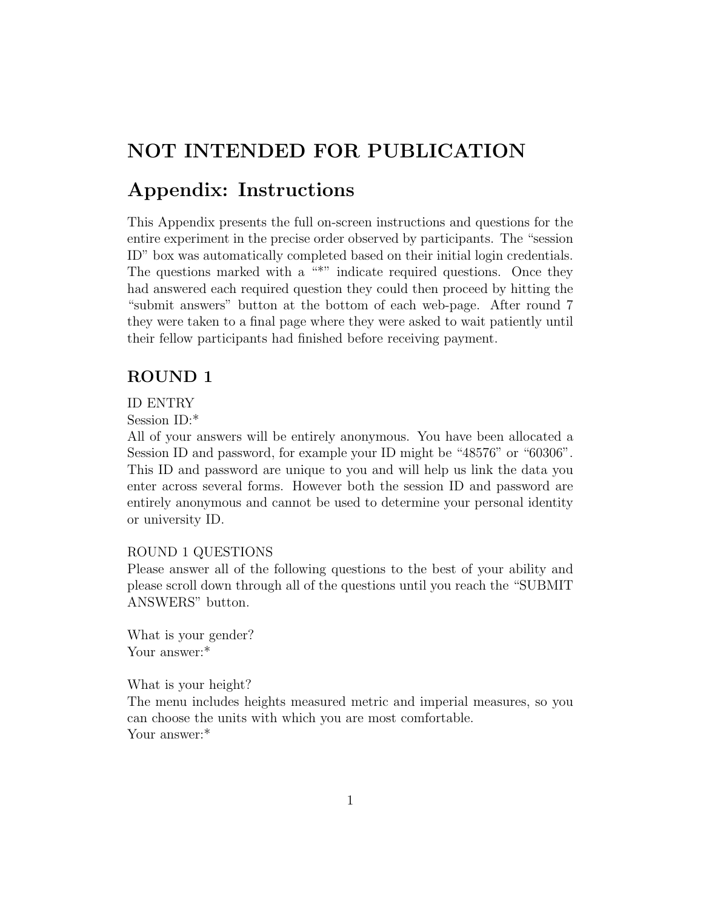# NOT INTENDED FOR PUBLICATION

# Appendix: Instructions

This Appendix presents the full on-screen instructions and questions for the entire experiment in the precise order observed by participants. The "session ID" box was automatically completed based on their initial login credentials. The questions marked with a  $\cdot$ " indicate required questions. Once they had answered each required question they could then proceed by hitting the "submit answers" button at the bottom of each web-page. After round 7 they were taken to a final page where they were asked to wait patiently until their fellow participants had finished before receiving payment.

### ROUND 1

#### ID ENTRY

Session ID:\*

All of your answers will be entirely anonymous. You have been allocated a Session ID and password, for example your ID might be "48576" or "60306". This ID and password are unique to you and will help us link the data you enter across several forms. However both the session ID and password are entirely anonymous and cannot be used to determine your personal identity or university ID.

#### ROUND 1 QUESTIONS

Please answer all of the following questions to the best of your ability and please scroll down through all of the questions until you reach the "SUBMIT ANSWERS" button.

What is your gender? Your answer:\*

What is your height? The menu includes heights measured metric and imperial measures, so you can choose the units with which you are most comfortable. Your answer:\*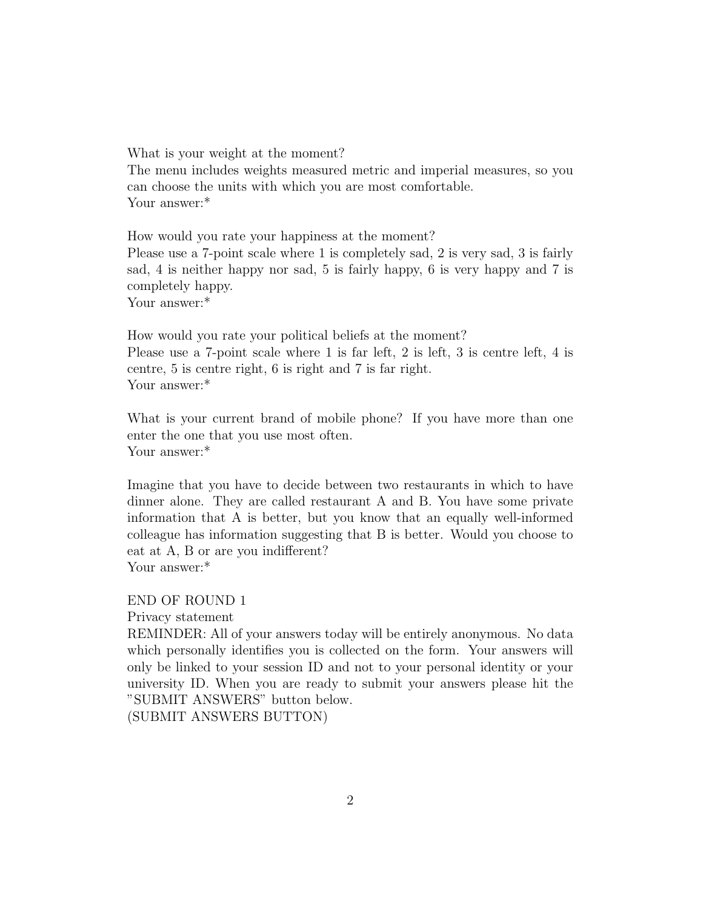What is your weight at the moment? The menu includes weights measured metric and imperial measures, so you can choose the units with which you are most comfortable. Your answer:\*

How would you rate your happiness at the moment? Please use a 7-point scale where 1 is completely sad, 2 is very sad, 3 is fairly sad, 4 is neither happy nor sad, 5 is fairly happy, 6 is very happy and 7 is completely happy. Your answer:\*

How would you rate your political beliefs at the moment? Please use a 7-point scale where 1 is far left, 2 is left, 3 is centre left, 4 is centre, 5 is centre right, 6 is right and 7 is far right. Your answer:\*

What is your current brand of mobile phone? If you have more than one enter the one that you use most often. Your answer:\*

Imagine that you have to decide between two restaurants in which to have dinner alone. They are called restaurant A and B. You have some private information that A is better, but you know that an equally well-informed colleague has information suggesting that B is better. Would you choose to eat at A, B or are you indifferent? Your answer:\*

END OF ROUND 1

Privacy statement

REMINDER: All of your answers today will be entirely anonymous. No data which personally identifies you is collected on the form. Your answers will only be linked to your session ID and not to your personal identity or your university ID. When you are ready to submit your answers please hit the "SUBMIT ANSWERS" button below.

(SUBMIT ANSWERS BUTTON)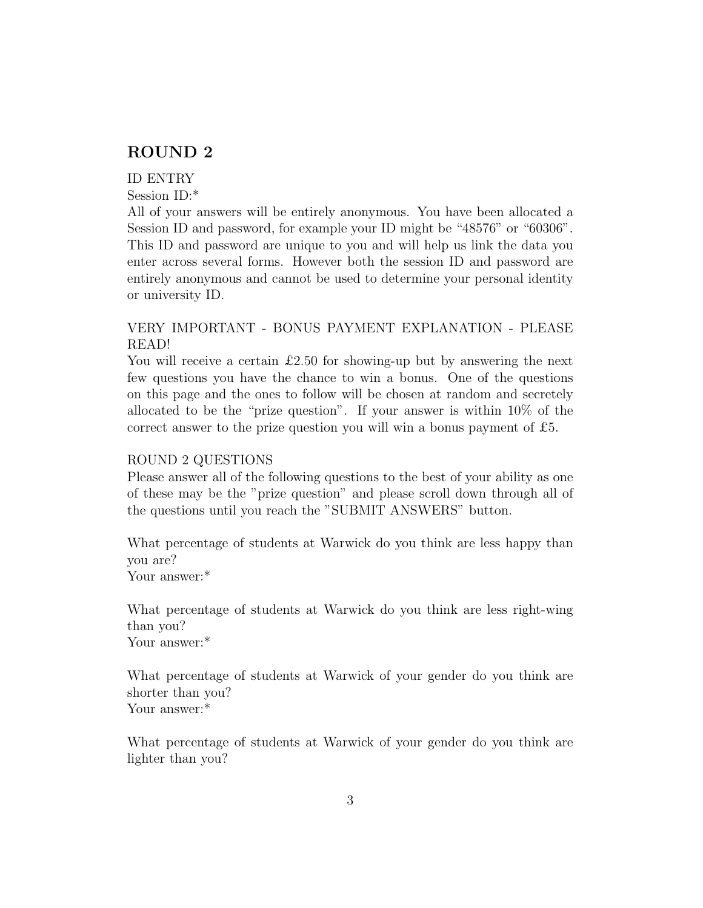### ROUND 2

#### ID ENTRY

Session ID:\*

All of your answers will be entirely anonymous. You have been allocated a Session ID and password, for example your ID might be "48576" or "60306". This ID and password are unique to you and will help us link the data you enter across several forms. However both the session ID and password are entirely anonymous and cannot be used to determine your personal identity or university ID.

### VERY IMPORTANT - BONUS PAYMENT EXPLANATION - PLEASE READ!

You will receive a certain  $\pounds$ 2.50 for showing-up but by answering the next few questions you have the chance to win a bonus. One of the questions on this page and the ones to follow will be chosen at random and secretely allocated to be the "prize question". If your answer is within 10% of the correct answer to the prize question you will win a bonus payment of  $£5$ .

#### ROUND 2 QUESTIONS

Please answer all of the following questions to the best of your ability as one of these may be the "prize question" and please scroll down through all of the questions until you reach the "SUBMIT ANSWERS" button.

What percentage of students at Warwick do you think are less happy than you are?

Your answer:\*

What percentage of students at Warwick do you think are less right-wing than you? Your answer:\*

What percentage of students at Warwick of your gender do you think are shorter than you? Your answer:\*

What percentage of students at Warwick of your gender do you think are lighter than you?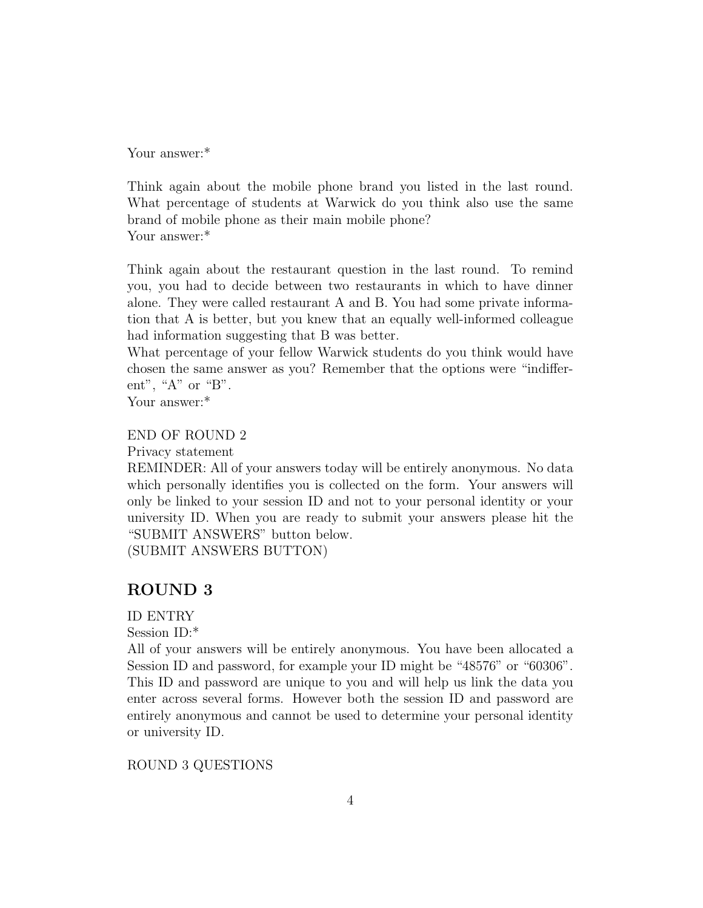Your answer:\*

Think again about the mobile phone brand you listed in the last round. What percentage of students at Warwick do you think also use the same brand of mobile phone as their main mobile phone? Your answer:\*

Think again about the restaurant question in the last round. To remind you, you had to decide between two restaurants in which to have dinner alone. They were called restaurant A and B. You had some private information that A is better, but you knew that an equally well-informed colleague had information suggesting that B was better.

What percentage of your fellow Warwick students do you think would have chosen the same answer as you? Remember that the options were "indifferent", " $A$ " or " $B$ ".

Your answer:\*

### END OF ROUND 2

Privacy statement

REMINDER: All of your answers today will be entirely anonymous. No data which personally identifies you is collected on the form. Your answers will only be linked to your session ID and not to your personal identity or your university ID. When you are ready to submit your answers please hit the "SUBMIT ANSWERS" button below.

(SUBMIT ANSWERS BUTTON)

### ROUND 3

ID ENTRY

Session ID:\*

All of your answers will be entirely anonymous. You have been allocated a Session ID and password, for example your ID might be "48576" or "60306". This ID and password are unique to you and will help us link the data you enter across several forms. However both the session ID and password are entirely anonymous and cannot be used to determine your personal identity or university ID.

ROUND 3 QUESTIONS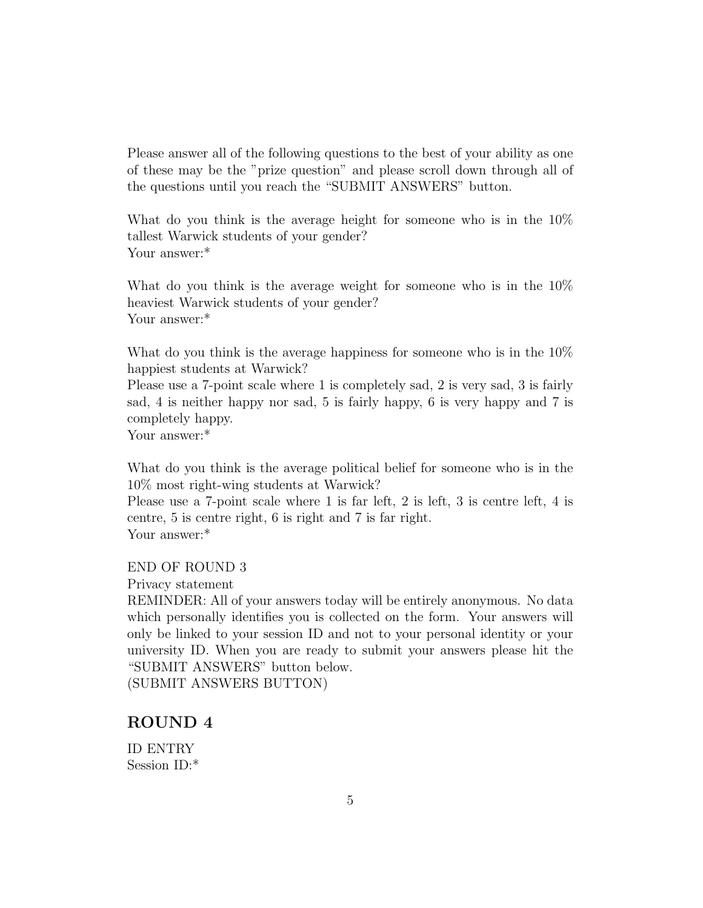Please answer all of the following questions to the best of your ability as one of these may be the "prize question" and please scroll down through all of the questions until you reach the "SUBMIT ANSWERS" button.

What do you think is the average height for someone who is in the 10% tallest Warwick students of your gender? Your answer:\*

What do you think is the average weight for someone who is in the  $10\%$ heaviest Warwick students of your gender? Your answer:\*

What do you think is the average happiness for some one who is in the  $10\%$ happiest students at Warwick?

Please use a 7-point scale where 1 is completely sad, 2 is very sad, 3 is fairly sad, 4 is neither happy nor sad, 5 is fairly happy, 6 is very happy and 7 is completely happy.

Your answer:\*

What do you think is the average political belief for someone who is in the 10% most right-wing students at Warwick?

Please use a 7-point scale where 1 is far left, 2 is left, 3 is centre left, 4 is centre, 5 is centre right, 6 is right and 7 is far right. Your answer:\*

#### END OF ROUND 3

Privacy statement

REMINDER: All of your answers today will be entirely anonymous. No data which personally identifies you is collected on the form. Your answers will only be linked to your session ID and not to your personal identity or your university ID. When you are ready to submit your answers please hit the "SUBMIT ANSWERS" button below.

(SUBMIT ANSWERS BUTTON)

### ROUND 4

ID ENTRY Session ID:\*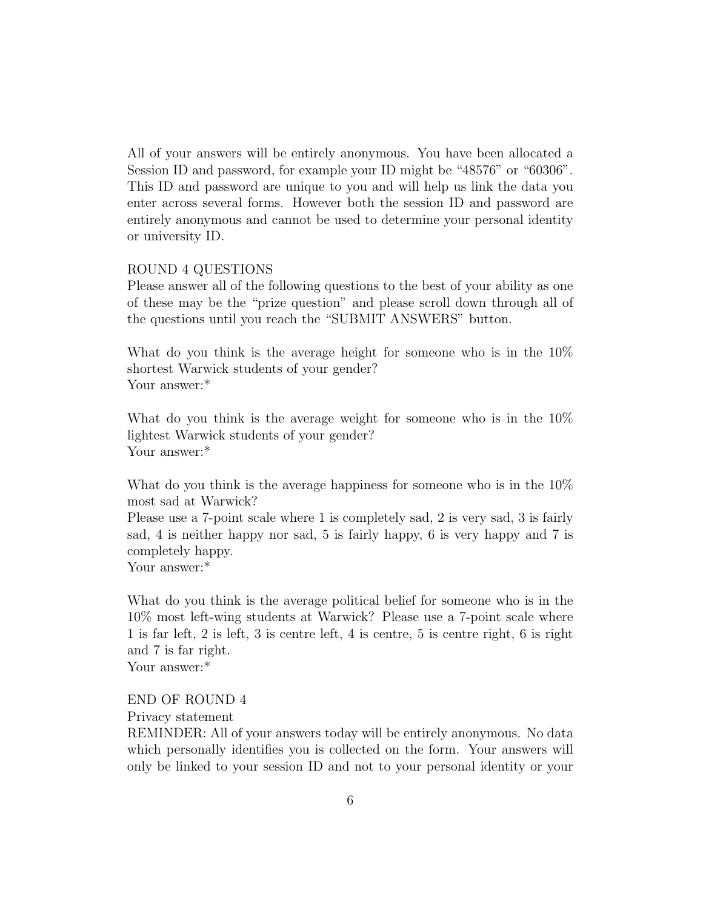All of your answers will be entirely anonymous. You have been allocated a Session ID and password, for example your ID might be "48576" or "60306". This ID and password are unique to you and will help us link the data you enter across several forms. However both the session ID and password are entirely anonymous and cannot be used to determine your personal identity or university ID.

#### ROUND 4 QUESTIONS

Please answer all of the following questions to the best of your ability as one of these may be the "prize question" and please scroll down through all of the questions until you reach the "SUBMIT ANSWERS" button.

What do you think is the average height for someone who is in the 10% shortest Warwick students of your gender? Your answer:\*

What do you think is the average weight for someone who is in the  $10\%$ lightest Warwick students of your gender? Your answer:\*

What do you think is the average happiness for some one who is in the  $10\%$ most sad at Warwick?

Please use a 7-point scale where 1 is completely sad, 2 is very sad, 3 is fairly sad, 4 is neither happy nor sad, 5 is fairly happy, 6 is very happy and 7 is completely happy.

Your answer:\*

What do you think is the average political belief for someone who is in the 10% most left-wing students at Warwick? Please use a 7-point scale where 1 is far left, 2 is left, 3 is centre left, 4 is centre, 5 is centre right, 6 is right and 7 is far right.

Your answer:\*

#### END OF ROUND 4

Privacy statement

REMINDER: All of your answers today will be entirely anonymous. No data which personally identifies you is collected on the form. Your answers will only be linked to your session ID and not to your personal identity or your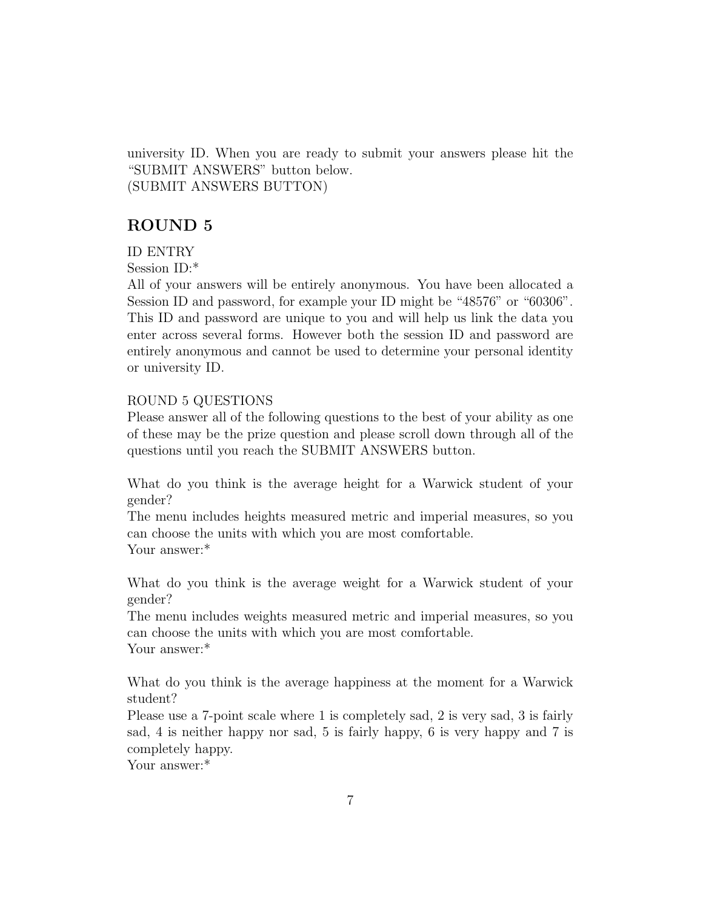university ID. When you are ready to submit your answers please hit the "SUBMIT ANSWERS" button below. (SUBMIT ANSWERS BUTTON)

### ROUND 5

#### ID ENTRY

Session ID:\*

All of your answers will be entirely anonymous. You have been allocated a Session ID and password, for example your ID might be "48576" or "60306". This ID and password are unique to you and will help us link the data you enter across several forms. However both the session ID and password are entirely anonymous and cannot be used to determine your personal identity or university ID.

#### ROUND 5 QUESTIONS

Please answer all of the following questions to the best of your ability as one of these may be the prize question and please scroll down through all of the questions until you reach the SUBMIT ANSWERS button.

What do you think is the average height for a Warwick student of your gender?

The menu includes heights measured metric and imperial measures, so you can choose the units with which you are most comfortable. Your answer:\*

What do you think is the average weight for a Warwick student of your gender?

The menu includes weights measured metric and imperial measures, so you can choose the units with which you are most comfortable. Your answer:\*

What do you think is the average happiness at the moment for a Warwick student?

Please use a 7-point scale where 1 is completely sad, 2 is very sad, 3 is fairly sad, 4 is neither happy nor sad, 5 is fairly happy, 6 is very happy and 7 is completely happy.

Your answer:\*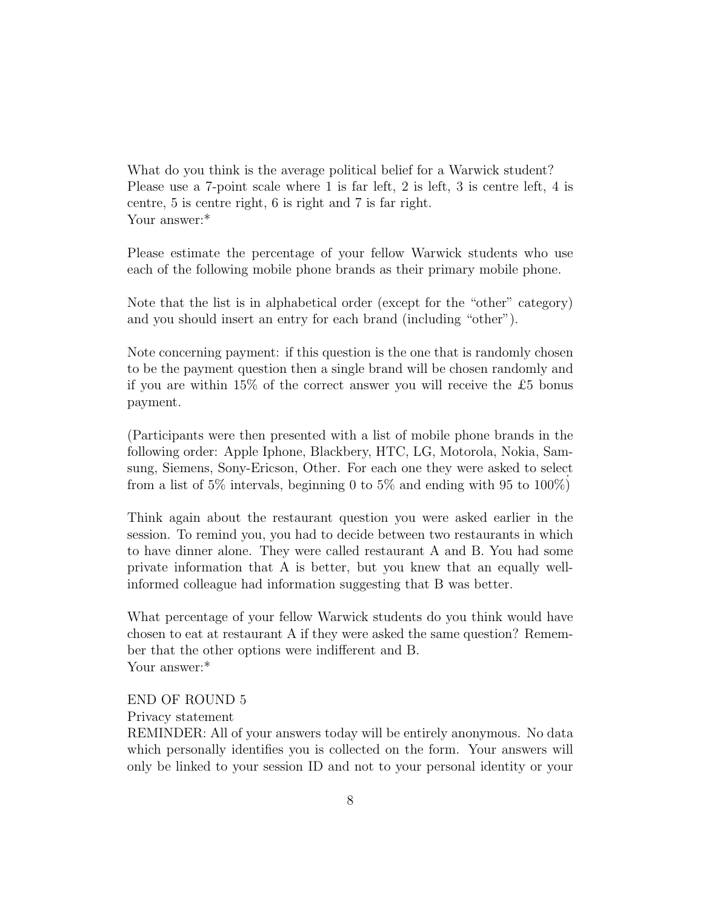What do you think is the average political belief for a Warwick student? Please use a 7-point scale where 1 is far left, 2 is left, 3 is centre left, 4 is centre, 5 is centre right, 6 is right and 7 is far right. Your answer:\*

Please estimate the percentage of your fellow Warwick students who use each of the following mobile phone brands as their primary mobile phone.

Note that the list is in alphabetical order (except for the "other" category) and you should insert an entry for each brand (including "other").

Note concerning payment: if this question is the one that is randomly chosen to be the payment question then a single brand will be chosen randomly and if you are within 15% of the correct answer you will receive the £5 bonus payment.

(Participants were then presented with a list of mobile phone brands in the following order: Apple Iphone, Blackbery, HTC, LG, Motorola, Nokia, Samsung, Siemens, Sony-Ericson, Other. For each one they were asked to select from a list of 5% intervals, beginning 0 to 5% and ending with 95 to 100%)

Think again about the restaurant question you were asked earlier in the session. To remind you, you had to decide between two restaurants in which to have dinner alone. They were called restaurant A and B. You had some private information that A is better, but you knew that an equally wellinformed colleague had information suggesting that B was better.

What percentage of your fellow Warwick students do you think would have chosen to eat at restaurant A if they were asked the same question? Remember that the other options were indifferent and B. Your answer:\*

END OF ROUND 5

#### Privacy statement

REMINDER: All of your answers today will be entirely anonymous. No data which personally identifies you is collected on the form. Your answers will only be linked to your session ID and not to your personal identity or your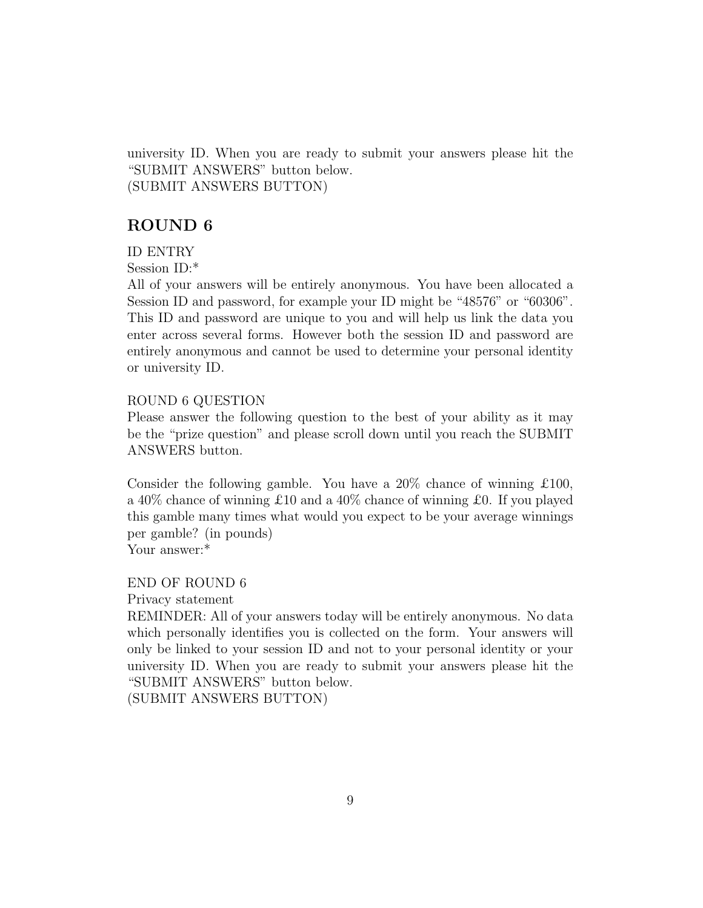university ID. When you are ready to submit your answers please hit the "SUBMIT ANSWERS" button below. (SUBMIT ANSWERS BUTTON)

### ROUND 6

#### ID ENTRY

Session ID:\*

All of your answers will be entirely anonymous. You have been allocated a Session ID and password, for example your ID might be "48576" or "60306". This ID and password are unique to you and will help us link the data you enter across several forms. However both the session ID and password are entirely anonymous and cannot be used to determine your personal identity or university ID.

#### ROUND 6 QUESTION

Please answer the following question to the best of your ability as it may be the "prize question" and please scroll down until you reach the SUBMIT ANSWERS button.

Consider the following gamble. You have a  $20\%$  chance of winning  $\pounds 100$ , a 40% chance of winning £10 and a 40% chance of winning £0. If you played this gamble many times what would you expect to be your average winnings per gamble? (in pounds)

Your answer:\*

END OF ROUND 6

Privacy statement

REMINDER: All of your answers today will be entirely anonymous. No data which personally identifies you is collected on the form. Your answers will only be linked to your session ID and not to your personal identity or your university ID. When you are ready to submit your answers please hit the "SUBMIT ANSWERS" button below.

(SUBMIT ANSWERS BUTTON)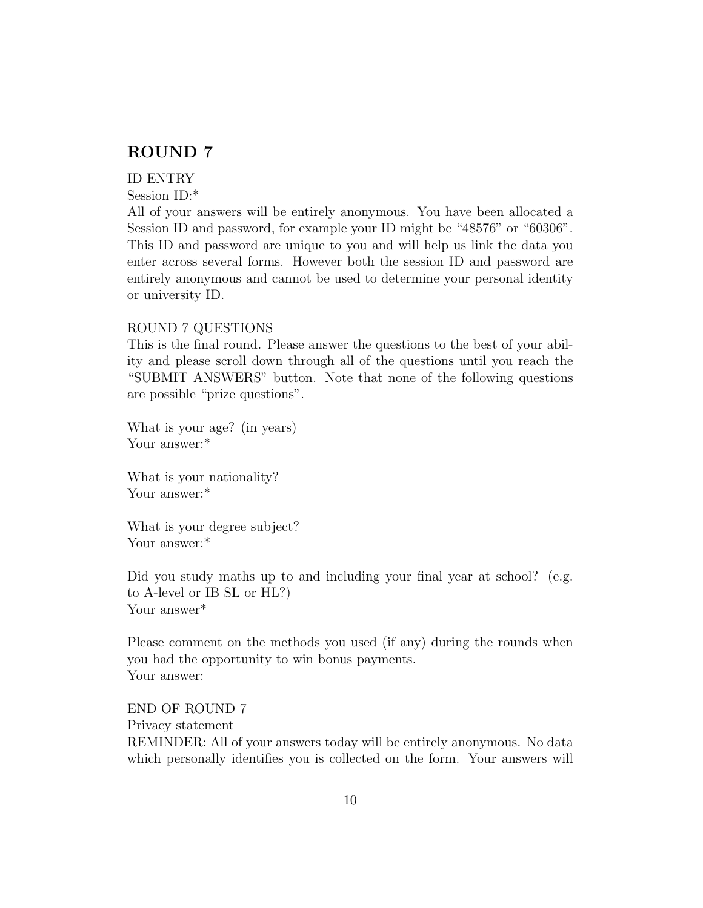### ROUND 7

#### ID ENTRY

Session ID:\*

All of your answers will be entirely anonymous. You have been allocated a Session ID and password, for example your ID might be "48576" or "60306". This ID and password are unique to you and will help us link the data you enter across several forms. However both the session ID and password are entirely anonymous and cannot be used to determine your personal identity or university ID.

#### ROUND 7 QUESTIONS

This is the final round. Please answer the questions to the best of your ability and please scroll down through all of the questions until you reach the "SUBMIT ANSWERS" button. Note that none of the following questions are possible "prize questions".

What is your age? (in years) Your answer:\*

What is your nationality? Your answer:\*

What is your degree subject? Your answer:\*

Did you study maths up to and including your final year at school? (e.g. to A-level or IB SL or HL?) Your answer<sup>\*</sup>

Please comment on the methods you used (if any) during the rounds when you had the opportunity to win bonus payments. Your answer:

END OF ROUND 7 Privacy statement REMINDER: All of your answers today will be entirely anonymous. No data which personally identifies you is collected on the form. Your answers will